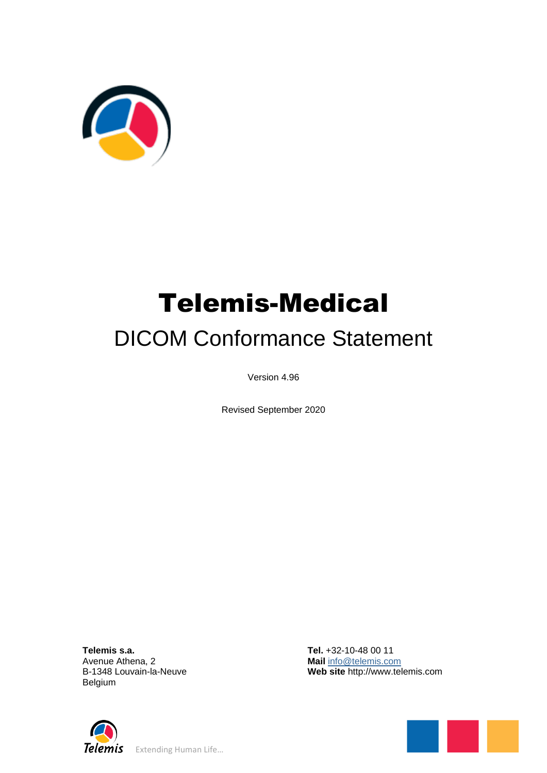

# Telemis-Medical DICOM Conformance Statement

Version 4.96

Revised September 2020

**Telemis s.a.** Avenue Athena, 2 B-1348 Louvain-la-Neuve Belgium

**Tel.** +32-10-48 00 11 **Mail** [info@telemis.com](mailto:info@telemis.com) **Web site** http://www.telemis.com



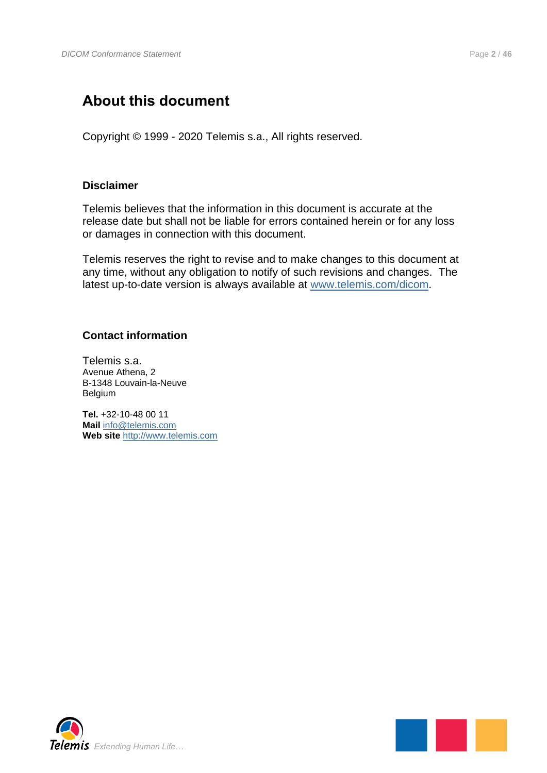## <span id="page-1-0"></span>**About this document**

Copyright © 1999 - 2020 Telemis s.a., All rights reserved.

#### **Disclaimer**

Telemis believes that the information in this document is accurate at the release date but shall not be liable for errors contained herein or for any loss or damages in connection with this document.

Telemis reserves the right to revise and to make changes to this document at any time, without any obligation to notify of such revisions and changes. The latest up-to-date version is always available at [www.telemis.com/dicom.](http://www.telemis.com/dicom)

### **Contact information**

Telemis s.a. Avenue Athena, 2 B-1348 Louvain-la-Neuve Belgium

**Tel.** +32-10-48 00 11 **Mail** [info@telemis.com](mailto:info@telemis.com) **Web site** [http://www.telemis.com](http://www.telemis.com/)



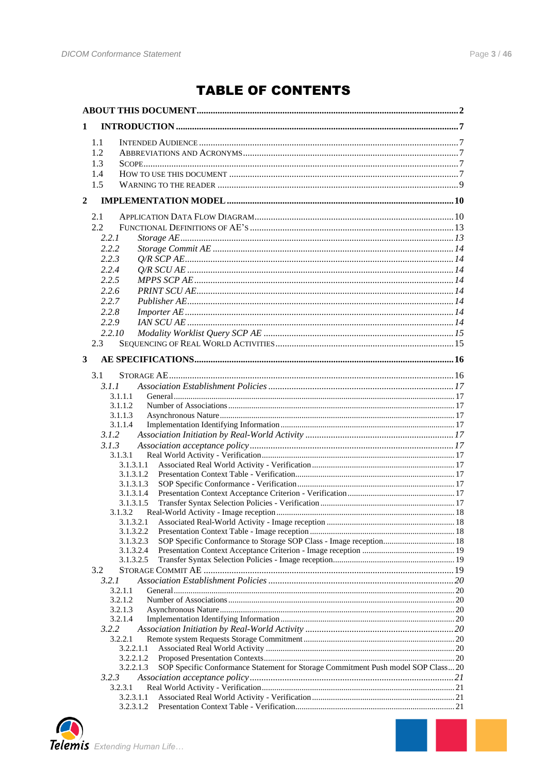## **TABLE OF CONTENTS**

| 1             |                                                                                               |  |
|---------------|-----------------------------------------------------------------------------------------------|--|
| 1.1           |                                                                                               |  |
| 1.2           |                                                                                               |  |
| 1.3           |                                                                                               |  |
| 1.4           |                                                                                               |  |
| 1.5           |                                                                                               |  |
|               |                                                                                               |  |
| $\mathbf{2}$  |                                                                                               |  |
| 2.1           |                                                                                               |  |
| 2.2           |                                                                                               |  |
| 2.2.1         |                                                                                               |  |
| 2.2.2         |                                                                                               |  |
| 2.2.3         |                                                                                               |  |
| 2.2.4         |                                                                                               |  |
| 2.2.5         |                                                                                               |  |
| 2.2.6         |                                                                                               |  |
| 2.2.7         |                                                                                               |  |
| 2.2.8         |                                                                                               |  |
| 2.2.9         |                                                                                               |  |
| 2.2.10        |                                                                                               |  |
|               |                                                                                               |  |
| $2.3^{\circ}$ |                                                                                               |  |
| 3             |                                                                                               |  |
| 3.1           |                                                                                               |  |
| 3.1.1         |                                                                                               |  |
|               | 3.1.1.1                                                                                       |  |
|               | 3.1.1.2                                                                                       |  |
|               | 3.1.1.3                                                                                       |  |
|               | 3.1.1.4                                                                                       |  |
| 3.1.2         |                                                                                               |  |
| 3.1.3         |                                                                                               |  |
|               | 3.1.3.1                                                                                       |  |
|               | 3.1.3.1.1                                                                                     |  |
|               | 3.1.3.1.2                                                                                     |  |
|               | 3.1.3.1.3                                                                                     |  |
|               | 3.1.3.1.4                                                                                     |  |
|               | 3.1.3.1.5                                                                                     |  |
|               | 3.1.3.2                                                                                       |  |
|               | 3.1.3.2.1                                                                                     |  |
|               | 3.1.3.2.2                                                                                     |  |
|               | SOP Specific Conformance to Storage SOP Class - Image reception 18<br>3.1.3.2.3               |  |
|               | 3.1.3.2.4<br>3.1.3.2.5                                                                        |  |
| 3.2           |                                                                                               |  |
|               |                                                                                               |  |
| 3.2.1         | 3.2.1.1                                                                                       |  |
|               | 3.2.1.2                                                                                       |  |
|               | 3.2.1.3                                                                                       |  |
|               | 3.2.1.4                                                                                       |  |
| 3.2.2         |                                                                                               |  |
|               | 3.2.2.1                                                                                       |  |
|               | 3.2.2.1.1                                                                                     |  |
|               | 3.2.2.1.2                                                                                     |  |
|               | SOP Specific Conformance Statement for Storage Commitment Push model SOP Class20<br>3.2.2.1.3 |  |
| 3.2.3         |                                                                                               |  |
|               | 3.2.3.1                                                                                       |  |
|               | 3.2.3.1.1                                                                                     |  |
|               | 3.2.3.1.2                                                                                     |  |

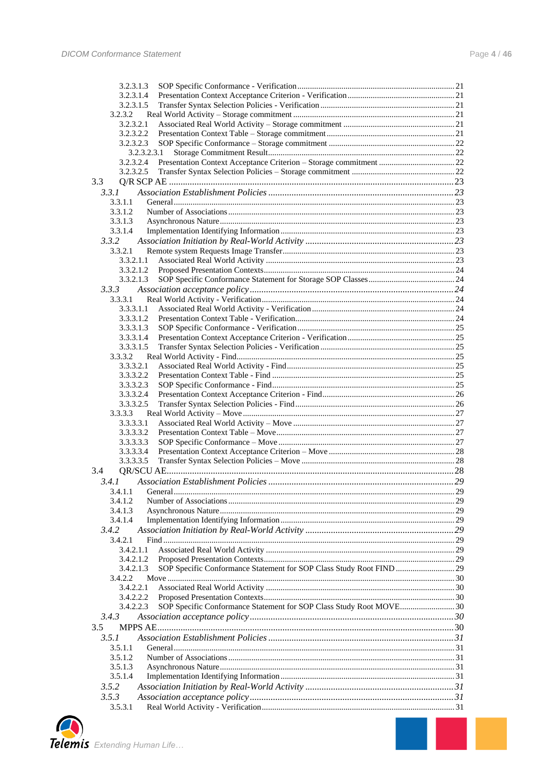| 3.2.3.1.3                                                                         |  |
|-----------------------------------------------------------------------------------|--|
| 3.2.3.1.4                                                                         |  |
| 3.2.3.1.5                                                                         |  |
| 3.2.3.2                                                                           |  |
| 3.2.3.2.1                                                                         |  |
| 3.2.3.2.2                                                                         |  |
| 3.2.3.2.3                                                                         |  |
| 3.2.3.2.3.1<br>3.2.3.2.4                                                          |  |
| 3.2.3.2.5                                                                         |  |
| 3.3                                                                               |  |
| 3.3.1                                                                             |  |
| 3.3.1.1                                                                           |  |
| 3.3.1.2                                                                           |  |
| 3.3.1.3                                                                           |  |
| 3.3.1.4                                                                           |  |
| 3.3.2                                                                             |  |
| 3.3.2.1                                                                           |  |
| 3.3.2.1.1                                                                         |  |
| 3.3.2.1.2                                                                         |  |
| 3.3.2.1.3                                                                         |  |
| 3.3.3                                                                             |  |
| 3.3.3.1<br>3.3.3.1.1                                                              |  |
| 3.3.3.1.2                                                                         |  |
| 3.3.3.1.3                                                                         |  |
| 3.3.3.1.4                                                                         |  |
| 3.3.3.1.5                                                                         |  |
| 3.3.3.2                                                                           |  |
| 3.3.3.2.1                                                                         |  |
| 3.3.3.2.2                                                                         |  |
| 3.3.3.2.3                                                                         |  |
| 3.3.3.2.4<br>3.3.3.2.5                                                            |  |
| 3.3.3.3                                                                           |  |
| 3.3.3.3.1                                                                         |  |
| 3.3.3.3.2                                                                         |  |
| 3.3.3.3.3                                                                         |  |
| 3.3.3.3.4                                                                         |  |
| 3.3.3.3.5                                                                         |  |
| 3.4                                                                               |  |
| 3.4.1                                                                             |  |
| 3.4.1.1 General                                                                   |  |
| 3.4.1.2                                                                           |  |
| 3.4.1.3                                                                           |  |
| 3.4.1.4<br>3.4.2                                                                  |  |
| 3.4.2.1                                                                           |  |
| 3.4.2.1.1                                                                         |  |
| 3.4.2.1.2                                                                         |  |
| SOP Specific Conformance Statement for SOP Class Study Root FIND  29<br>3.4.2.1.3 |  |
| 3.4.2.2                                                                           |  |
| 3.4.2.2.1                                                                         |  |
| 3.4.2.2.2                                                                         |  |
| 3.4.2.2.3<br>SOP Specific Conformance Statement for SOP Class Study Root MOVE 30  |  |
| 3.4.3                                                                             |  |
| 3.5                                                                               |  |
| 3.5.1                                                                             |  |
| 3.5.1.1<br>3.5.1.2                                                                |  |
| 3.5.1.3                                                                           |  |
| 3.5.1.4                                                                           |  |
| 3.5.2                                                                             |  |
| 3.5.3                                                                             |  |
| 3.5.3.1                                                                           |  |
|                                                                                   |  |
|                                                                                   |  |
|                                                                                   |  |
| Extending Human Life                                                              |  |

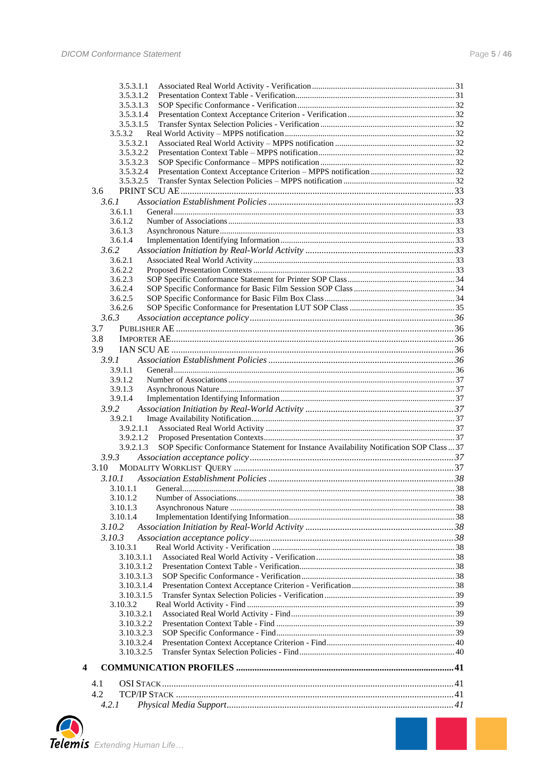| 3.5.3.1.1                                                                                                         |  |
|-------------------------------------------------------------------------------------------------------------------|--|
| 3.5.3.1.2                                                                                                         |  |
| 3.5.3.1.3                                                                                                         |  |
| 3.5.3.1.4                                                                                                         |  |
| 3.5.3.1.5<br>3.5.3.2                                                                                              |  |
| 3.5.3.2.1                                                                                                         |  |
| 3.5.3.2.2                                                                                                         |  |
| 3.5.3.2.3                                                                                                         |  |
| 3.5.3.2.4                                                                                                         |  |
| 3.5.3.2.5                                                                                                         |  |
| 3.6                                                                                                               |  |
| 3.6.1                                                                                                             |  |
| 3.6.1.1                                                                                                           |  |
| 3.6.1.2                                                                                                           |  |
| 3.6.1.3                                                                                                           |  |
| 3.6.1.4                                                                                                           |  |
| 3.6.2                                                                                                             |  |
| 3.6.2.1<br>3.6.2.2                                                                                                |  |
| 3.6.2.3                                                                                                           |  |
| 3.6.2.4                                                                                                           |  |
| 3.6.2.5                                                                                                           |  |
| 3.6.2.6                                                                                                           |  |
| 3.6.3                                                                                                             |  |
| 3.7                                                                                                               |  |
| 3.8                                                                                                               |  |
| 3.9                                                                                                               |  |
| 3.9.1                                                                                                             |  |
| 3.9.1.1                                                                                                           |  |
| 3.9.1.2                                                                                                           |  |
| 3.9.1.3                                                                                                           |  |
| 3.9.1.4                                                                                                           |  |
| 3.9.2                                                                                                             |  |
| 3.9.2.1                                                                                                           |  |
| 3.9.2.1.1                                                                                                         |  |
| 3.9.2.1.2<br>SOP Specific Conformance Statement for Instance Availability Notification SOP Class  37<br>3.9.2.1.3 |  |
| 3.9.3                                                                                                             |  |
| 3.10                                                                                                              |  |
| 3.10.1                                                                                                            |  |
| 3.10.1.1                                                                                                          |  |
| 3.10.1.2                                                                                                          |  |
| 3.10.1.3                                                                                                          |  |
| 3.10.1.4                                                                                                          |  |
| 3.10.2                                                                                                            |  |
| 3.10.3                                                                                                            |  |
| 3.10.3.1                                                                                                          |  |
| 3.10.3.1.1                                                                                                        |  |
| 3.10.3.1.2                                                                                                        |  |
| 3.10.3.1.3                                                                                                        |  |
| 3.10.3.1.4<br>3.10.3.1.5                                                                                          |  |
| 3.10.3.2                                                                                                          |  |
| 3.10.3.2.1                                                                                                        |  |
| 3.10.3.2.2                                                                                                        |  |
| 3.10.3.2.3                                                                                                        |  |
| 3.10.3.2.4                                                                                                        |  |
| 3.10.3.2.5                                                                                                        |  |
| 4                                                                                                                 |  |
| 4.1                                                                                                               |  |
| 4.2                                                                                                               |  |
| 4.2.1                                                                                                             |  |
|                                                                                                                   |  |

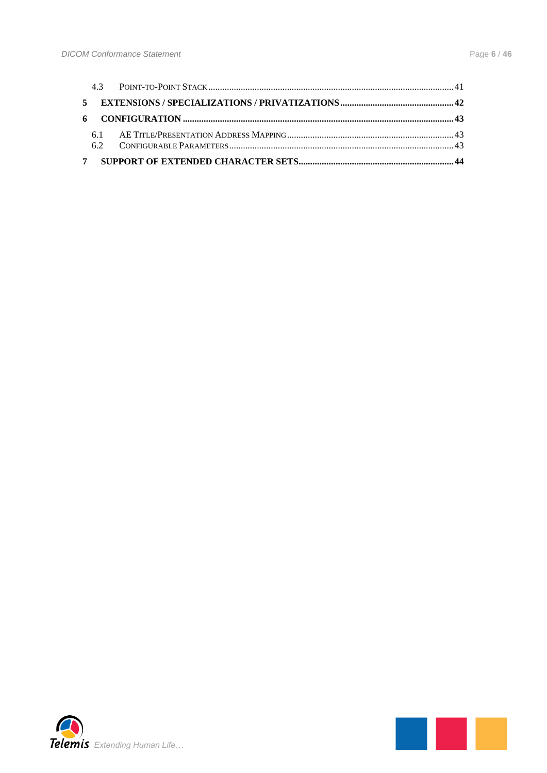

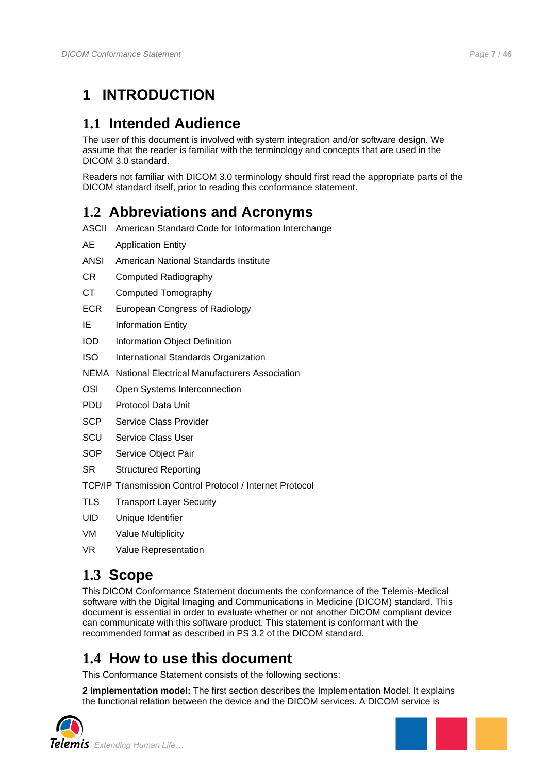## <span id="page-6-0"></span>**1 INTRODUCTION**

## <span id="page-6-1"></span>**1.1 Intended Audience**

The user of this document is involved with system integration and/or software design. We assume that the reader is familiar with the terminology and concepts that are used in the DICOM 3.0 standard.

Readers not familiar with DICOM 3.0 terminology should first read the appropriate parts of the DICOM standard itself, prior to reading this conformance statement.

## <span id="page-6-2"></span>**1.2 Abbreviations and Acronyms**

- ASCII American Standard Code for Information Interchange
- AE Application Entity
- ANSI American National Standards Institute
- CR Computed Radiography
- CT Computed Tomography
- ECR European Congress of Radiology
- IE Information Entity
- IOD Information Object Definition
- ISO International Standards Organization
- NEMA National Electrical Manufacturers Association
- OSI Open Systems Interconnection
- PDU Protocol Data Unit
- SCP Service Class Provider
- SCU Service Class User
- SOP Service Object Pair
- SR Structured Reporting

TCP/IP Transmission Control Protocol / Internet Protocol

- TLS Transport Layer Security
- UID Unique Identifier
- VM Value Multiplicity
- VR Value Representation

## <span id="page-6-3"></span>**1.3 Scope**

This DICOM Conformance Statement documents the conformance of the Telemis-Medical software with the Digital Imaging and Communications in Medicine (DICOM) standard. This document is essential in order to evaluate whether or not another DICOM compliant device can communicate with this software product. This statement is conformant with the recommended format as described in PS 3.2 of the DICOM standard.

## <span id="page-6-4"></span>**1.4 How to use this document**

This Conformance Statement consists of the following sections:

**2 Implementation model:** The first section describes the Implementation Model. It explains the functional relation between the device and the DICOM services. A DICOM service is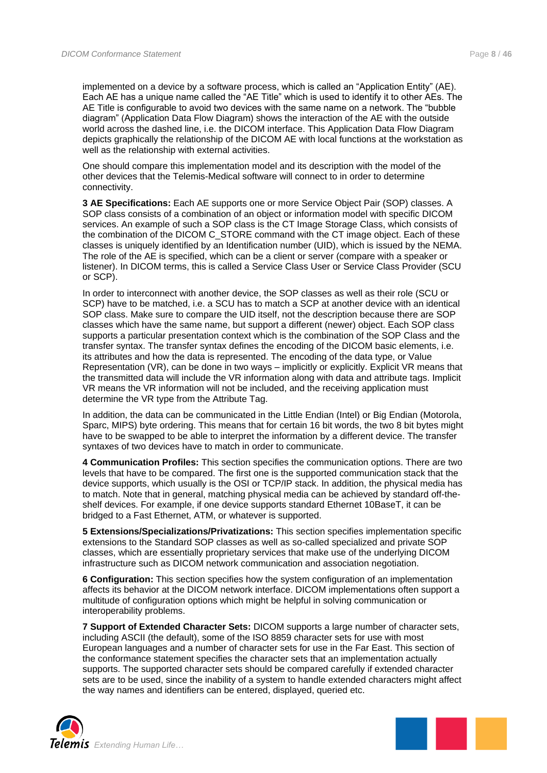implemented on a device by a software process, which is called an "Application Entity" (AE). Each AE has a unique name called the "AE Title" which is used to identify it to other AEs. The AE Title is configurable to avoid two devices with the same name on a network. The "bubble diagram" (Application Data Flow Diagram) shows the interaction of the AE with the outside world across the dashed line, i.e. the DICOM interface. This Application Data Flow Diagram depicts graphically the relationship of the DICOM AE with local functions at the workstation as well as the relationship with external activities.

One should compare this implementation model and its description with the model of the other devices that the Telemis-Medical software will connect to in order to determine connectivity.

**3 AE Specifications:** Each AE supports one or more Service Object Pair (SOP) classes. A SOP class consists of a combination of an object or information model with specific DICOM services. An example of such a SOP class is the CT Image Storage Class, which consists of the combination of the DICOM C\_STORE command with the CT image object. Each of these classes is uniquely identified by an Identification number (UID), which is issued by the NEMA. The role of the AE is specified, which can be a client or server (compare with a speaker or listener). In DICOM terms, this is called a Service Class User or Service Class Provider (SCU or SCP).

In order to interconnect with another device, the SOP classes as well as their role (SCU or SCP) have to be matched, i.e. a SCU has to match a SCP at another device with an identical SOP class. Make sure to compare the UID itself, not the description because there are SOP classes which have the same name, but support a different (newer) object. Each SOP class supports a particular presentation context which is the combination of the SOP Class and the transfer syntax. The transfer syntax defines the encoding of the DICOM basic elements, i.e. its attributes and how the data is represented. The encoding of the data type, or Value Representation (VR), can be done in two ways – implicitly or explicitly. Explicit VR means that the transmitted data will include the VR information along with data and attribute tags. Implicit VR means the VR information will not be included, and the receiving application must determine the VR type from the Attribute Tag.

In addition, the data can be communicated in the Little Endian (Intel) or Big Endian (Motorola, Sparc, MIPS) byte ordering. This means that for certain 16 bit words, the two 8 bit bytes might have to be swapped to be able to interpret the information by a different device. The transfer syntaxes of two devices have to match in order to communicate.

**4 Communication Profiles:** This section specifies the communication options. There are two levels that have to be compared. The first one is the supported communication stack that the device supports, which usually is the OSI or TCP/IP stack. In addition, the physical media has to match. Note that in general, matching physical media can be achieved by standard off-theshelf devices. For example, if one device supports standard Ethernet 10BaseT, it can be bridged to a Fast Ethernet, ATM, or whatever is supported.

**5 Extensions/Specializations/Privatizations:** This section specifies implementation specific extensions to the Standard SOP classes as well as so-called specialized and private SOP classes, which are essentially proprietary services that make use of the underlying DICOM infrastructure such as DICOM network communication and association negotiation.

**6 Configuration:** This section specifies how the system configuration of an implementation affects its behavior at the DICOM network interface. DICOM implementations often support a multitude of configuration options which might be helpful in solving communication or interoperability problems.

**7 Support of Extended Character Sets:** DICOM supports a large number of character sets, including ASCII (the default), some of the ISO 8859 character sets for use with most European languages and a number of character sets for use in the Far East. This section of the conformance statement specifies the character sets that an implementation actually supports. The supported character sets should be compared carefully if extended character sets are to be used, since the inability of a system to handle extended characters might affect the way names and identifiers can be entered, displayed, queried etc.



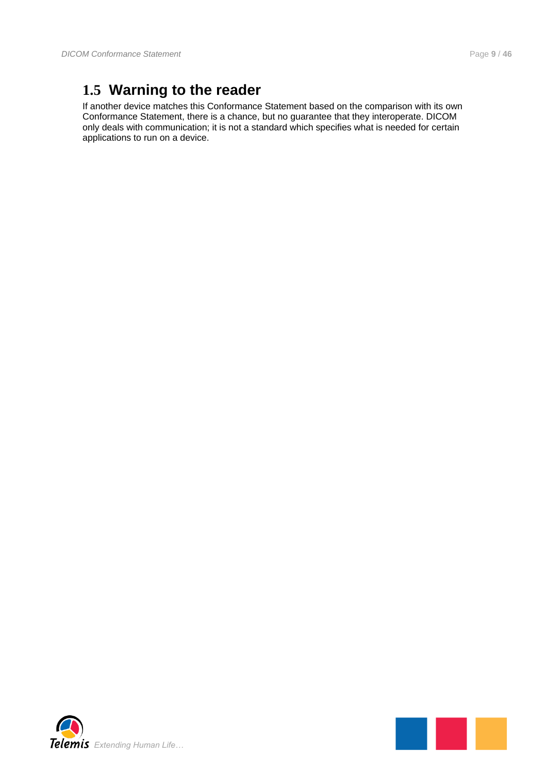## <span id="page-8-0"></span>**1.5 Warning to the reader**

If another device matches this Conformance Statement based on the comparison with its own Conformance Statement, there is a chance, but no guarantee that they interoperate. DICOM only deals with communication; it is not a standard which specifies what is needed for certain applications to run on a device.



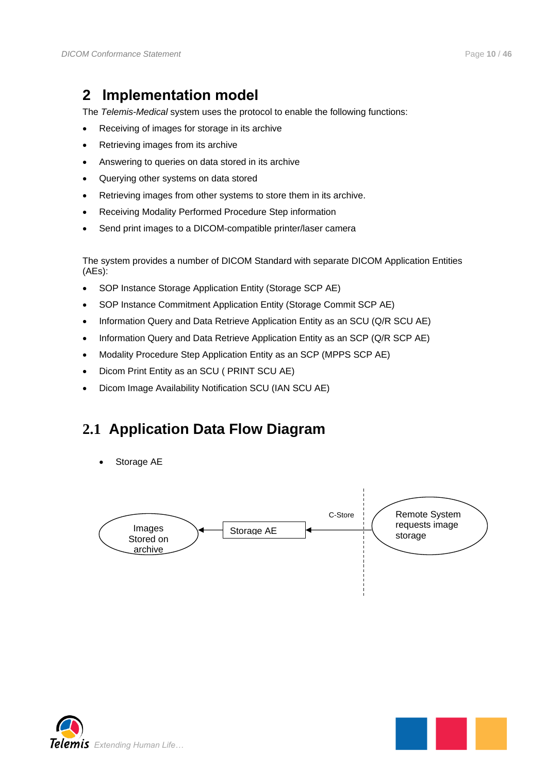## <span id="page-9-0"></span>**2 Implementation model**

The *Telemis-Medical* system uses the protocol to enable the following functions:

- Receiving of images for storage in its archive
- Retrieving images from its archive
- Answering to queries on data stored in its archive
- Querying other systems on data stored
- Retrieving images from other systems to store them in its archive.
- Receiving Modality Performed Procedure Step information
- Send print images to a DICOM-compatible printer/laser camera

The system provides a number of DICOM Standard with separate DICOM Application Entities (AEs):

- SOP Instance Storage Application Entity (Storage SCP AE)
- SOP Instance Commitment Application Entity (Storage Commit SCP AE)
- Information Query and Data Retrieve Application Entity as an SCU (Q/R SCU AE)
- Information Query and Data Retrieve Application Entity as an SCP (Q/R SCP AE)
- Modality Procedure Step Application Entity as an SCP (MPPS SCP AE)
- Dicom Print Entity as an SCU ( PRINT SCU AE)
- Dicom Image Availability Notification SCU (IAN SCU AE)

## <span id="page-9-1"></span>**2.1 Application Data Flow Diagram**

Storage AE



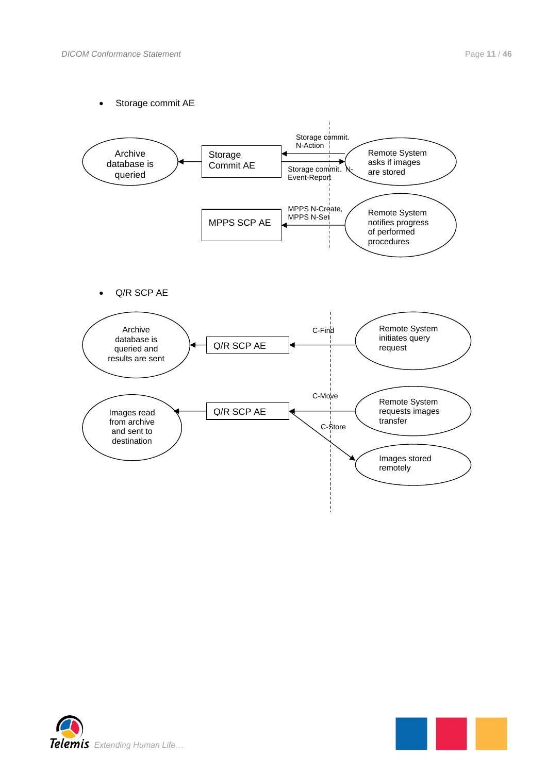Storage commit AE



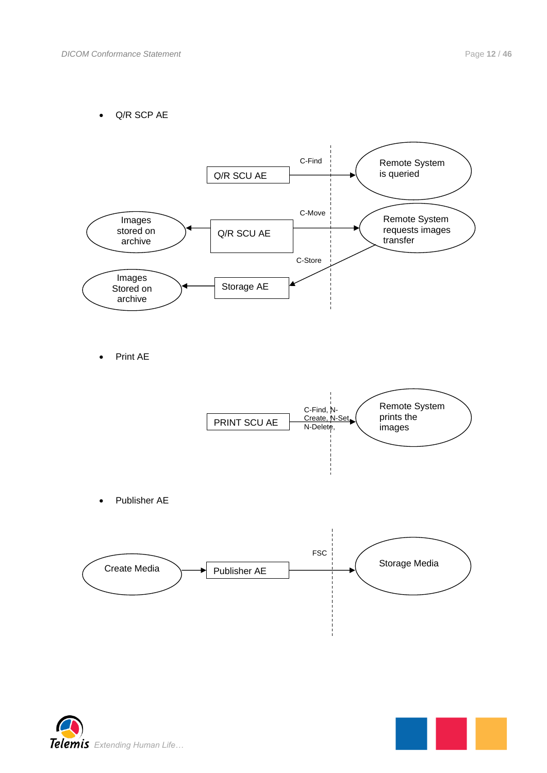Q/R SCP AE



Print AE



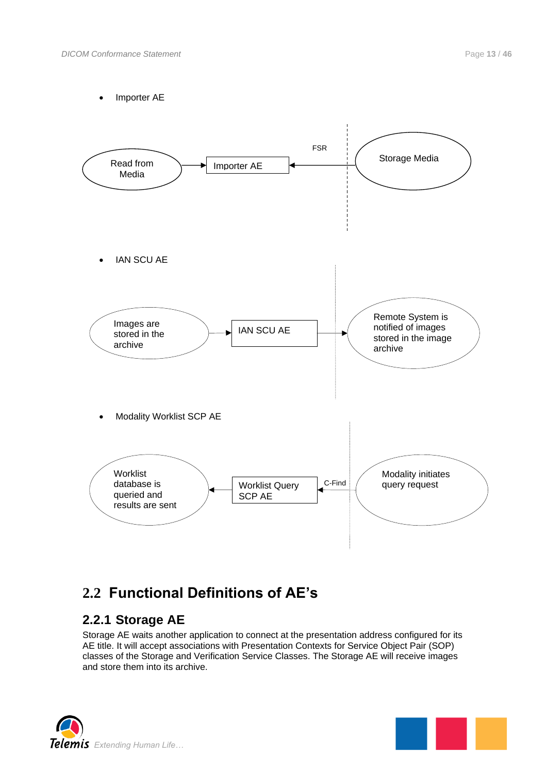Importer AE



## <span id="page-12-0"></span>**2.2 Functional Definitions of AE's**

### <span id="page-12-1"></span>**2.2.1 Storage AE**

Storage AE waits another application to connect at the presentation address configured for its AE title. It will accept associations with Presentation Contexts for Service Object Pair (SOP) classes of the Storage and Verification Service Classes. The Storage AE will receive images and store them into its archive.



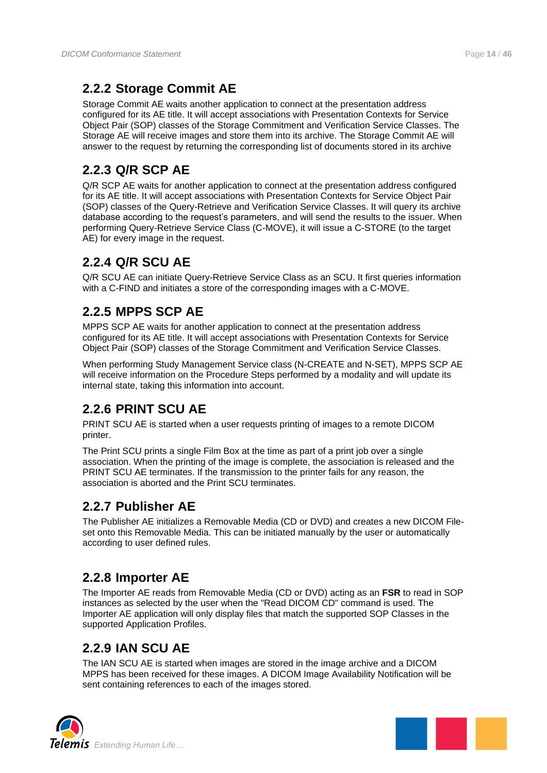## <span id="page-13-0"></span>**2.2.2 Storage Commit AE**

Storage Commit AE waits another application to connect at the presentation address configured for its AE title. It will accept associations with Presentation Contexts for Service Object Pair (SOP) classes of the Storage Commitment and Verification Service Classes. The Storage AE will receive images and store them into its archive. The Storage Commit AE will answer to the request by returning the corresponding list of documents stored in its archive

## <span id="page-13-1"></span>**2.2.3 Q/R SCP AE**

Q/R SCP AE waits for another application to connect at the presentation address configured for its AE title. It will accept associations with Presentation Contexts for Service Object Pair (SOP) classes of the Query-Retrieve and Verification Service Classes. It will query its archive database according to the request's parameters, and will send the results to the issuer. When performing Query-Retrieve Service Class (C-MOVE), it will issue a C-STORE (to the target AE) for every image in the request.

## <span id="page-13-2"></span>**2.2.4 Q/R SCU AE**

Q/R SCU AE can initiate Query-Retrieve Service Class as an SCU. It first queries information with a C-FIND and initiates a store of the corresponding images with a C-MOVE.

## <span id="page-13-3"></span>**2.2.5 MPPS SCP AE**

MPPS SCP AE waits for another application to connect at the presentation address configured for its AE title. It will accept associations with Presentation Contexts for Service Object Pair (SOP) classes of the Storage Commitment and Verification Service Classes.

When performing Study Management Service class (N-CREATE and N-SET), MPPS SCP AE will receive information on the Procedure Steps performed by a modality and will update its internal state, taking this information into account.

## <span id="page-13-4"></span>**2.2.6 PRINT SCU AE**

PRINT SCU AE is started when a user requests printing of images to a remote DICOM printer.

The Print SCU prints a single Film Box at the time as part of a print job over a single association. When the printing of the image is complete, the association is released and the PRINT SCU AE terminates. If the transmission to the printer fails for any reason, the association is aborted and the Print SCU terminates.

### <span id="page-13-5"></span>**2.2.7 Publisher AE**

The Publisher AE initializes a Removable Media (CD or DVD) and creates a new DICOM Fileset onto this Removable Media. This can be initiated manually by the user or automatically according to user defined rules.

## <span id="page-13-6"></span>**2.2.8 Importer AE**

The Importer AE reads from Removable Media (CD or DVD) acting as an **FSR** to read in SOP instances as selected by the user when the "Read DICOM CD" command is used. The Importer AE application will only display files that match the supported SOP Classes in the supported Application Profiles.

## <span id="page-13-7"></span>**2.2.9 IAN SCU AE**

The IAN SCU AE is started when images are stored in the image archive and a DICOM MPPS has been received for these images. A DICOM Image Availability Notification will be sent containing references to each of the images stored.



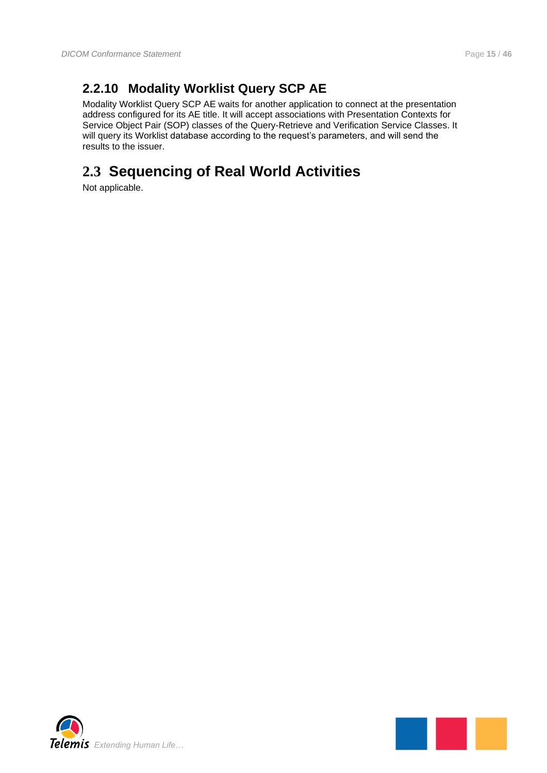## <span id="page-14-0"></span>**2.2.10 Modality Worklist Query SCP AE**

Modality Worklist Query SCP AE waits for another application to connect at the presentation address configured for its AE title. It will accept associations with Presentation Contexts for Service Object Pair (SOP) classes of the Query-Retrieve and Verification Service Classes. It will query its Worklist database according to the request's parameters, and will send the results to the issuer.

## <span id="page-14-1"></span>**2.3 Sequencing of Real World Activities**

Not applicable.



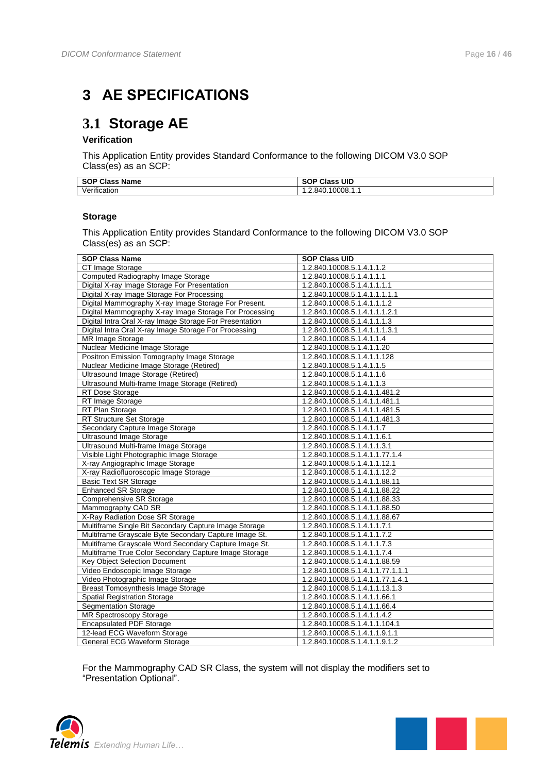## <span id="page-15-0"></span>**3 AE SPECIFICATIONS**

## <span id="page-15-1"></span>**3.1 Storage AE**

#### **Verification**

This Application Entity provides Standard Conformance to the following DICOM V3.0 SOP Class(es) as an SCP:

| <b>Name</b><br><b>SOP Class</b> | <b>SOP Class UID</b> |
|---------------------------------|----------------------|
| $\cdot$<br>. .<br>Verification  | 1.2.840.10008.1.1    |

#### **Storage**

This Application Entity provides Standard Conformance to the following DICOM V3.0 SOP Class(es) as an SCP:

| <b>SOP Class Name</b>                                   | <b>SOP Class UID</b>             |
|---------------------------------------------------------|----------------------------------|
| CT Image Storage                                        | 1.2.840.10008.5.1.4.1.1.2        |
| Computed Radiography Image Storage                      | 1.2.840.10008.5.1.4.1.1.1        |
| Digital X-ray Image Storage For Presentation            | 1.2.840.10008.5.1.4.1.1.1.1      |
| Digital X-ray Image Storage For Processing              | 1.2.840.10008.5.1.4.1.1.1.1.1    |
| Digital Mammography X-ray Image Storage For Present.    | 1.2.840.10008.5.1.4.1.1.1.2      |
| Digital Mammography X-ray Image Storage For Processing  | 1.2.840.10008.5.1.4.1.1.1.2.1    |
| Digital Intra Oral X-ray Image Storage For Presentation | 1.2.840.10008.5.1.4.1.1.1.3      |
| Digital Intra Oral X-ray Image Storage For Processing   | 1.2.840.10008.5.1.4.1.1.1.3.1    |
| <b>MR Image Storage</b>                                 | 1.2.840.10008.5.1.4.1.1.4        |
| Nuclear Medicine Image Storage                          | 1.2.840.10008.5.1.4.1.1.20       |
| Positron Emission Tomography Image Storage              | 1.2.840.10008.5.1.4.1.1.128      |
| Nuclear Medicine Image Storage (Retired)                | 1.2.840.10008.5.1.4.1.1.5        |
| Ultrasound Image Storage (Retired)                      | 1.2.840.10008.5.1.4.1.1.6        |
| Ultrasound Multi-frame Image Storage (Retired)          | 1.2.840.10008.5.1.4.1.1.3        |
| RT Dose Storage                                         | 1.2.840.10008.5.1.4.1.1.481.2    |
| RT Image Storage                                        | 1.2.840.10008.5.1.4.1.1.481.1    |
| RT Plan Storage                                         | 1.2.840.10008.5.1.4.1.1.481.5    |
| <b>RT Structure Set Storage</b>                         | 1.2.840.10008.5.1.4.1.1.481.3    |
| Secondary Capture Image Storage                         | 1.2.840.10008.5.1.4.1.1.7        |
| <b>Ultrasound Image Storage</b>                         | 1.2.840.10008.5.1.4.1.1.6.1      |
| Ultrasound Multi-frame Image Storage                    | 1.2.840.10008.5.1.4.1.1.3.1      |
| Visible Light Photographic Image Storage                | 1.2.840.10008.5.1.4.1.1.77.1.4   |
| X-ray Angiographic Image Storage                        | 1.2.840.10008.5.1.4.1.1.12.1     |
| X-ray Radiofluoroscopic Image Storage                   | 1.2.840.10008.5.1.4.1.1.12.2     |
| <b>Basic Text SR Storage</b>                            | 1.2.840.10008.5.1.4.1.1.88.11    |
| <b>Enhanced SR Storage</b>                              | 1.2.840.10008.5.1.4.1.1.88.22    |
| Comprehensive SR Storage                                | 1.2.840.10008.5.1.4.1.1.88.33    |
| Mammography CAD SR                                      | 1.2.840.10008.5.1.4.1.1.88.50    |
| X-Ray Radiation Dose SR Storage                         | 1.2.840.10008.5.1.4.1.1.88.67    |
| Multiframe Single Bit Secondary Capture Image Storage   | 1.2.840.10008.5.1.4.1.1.7.1      |
| Multiframe Grayscale Byte Secondary Capture Image St.   | 1.2.840.10008.5.1.4.1.1.7.2      |
| Multiframe Grayscale Word Secondary Capture Image St.   | 1.2.840.10008.5.1.4.1.1.7.3      |
| Multiframe True Color Secondary Capture Image Storage   | 1.2.840.10008.5.1.4.1.1.7.4      |
| <b>Key Object Selection Document</b>                    | 1.2.840.10008.5.1.4.1.1.88.59    |
| Video Endoscopic Image Storage                          | 1.2.840.10008.5.1.4.1.1.77.1.1.1 |
| Video Photographic Image Storage                        | 1.2.840.10008.5.1.4.1.1.77.1.4.1 |
| <b>Breast Tomosynthesis Image Storage</b>               | 1.2.840.10008.5.1.4.1.1.13.1.3   |
| <b>Spatial Registration Storage</b>                     | 1.2.840.10008.5.1.4.1.1.66.1     |
| <b>Segmentation Storage</b>                             | 1.2.840.10008.5.1.4.1.1.66.4     |
| MR Spectroscopy Storage                                 | 1.2.840.10008.5.1.4.1.1.4.2      |
| <b>Encapsulated PDF Storage</b>                         | 1.2.840.10008.5.1.4.1.1.104.1    |
| 12-lead ECG Waveform Storage                            | 1.2.840.10008.5.1.4.1.1.9.1.1    |
| General ECG Waveform Storage                            | 1.2.840.10008.5.1.4.1.1.9.1.2    |

For the Mammography CAD SR Class, the system will not display the modifiers set to "Presentation Optional".



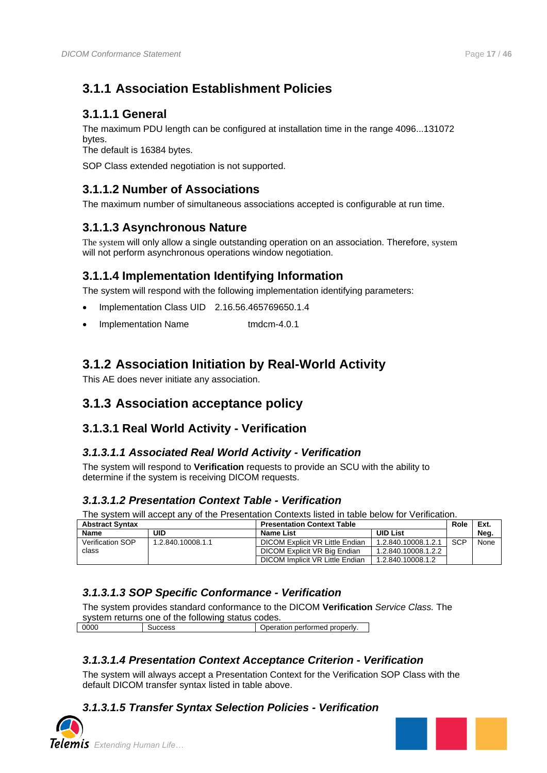## <span id="page-16-0"></span>**3.1.1 Association Establishment Policies**

### <span id="page-16-1"></span>**3.1.1.1 General**

The maximum PDU length can be configured at installation time in the range 4096...131072 bytes.

The default is 16384 bytes.

SOP Class extended negotiation is not supported.

### <span id="page-16-2"></span>**3.1.1.2 Number of Associations**

The maximum number of simultaneous associations accepted is configurable at run time.

### <span id="page-16-3"></span>**3.1.1.3 Asynchronous Nature**

The system will only allow a single outstanding operation on an association. Therefore, system will not perform asynchronous operations window negotiation.

### <span id="page-16-4"></span>**3.1.1.4 Implementation Identifying Information**

The system will respond with the following implementation identifying parameters:

- Implementation Class UID 2.16.56.465769650.1.4
- Implementation Name tmdcm-4.0.1

### <span id="page-16-5"></span>**3.1.2 Association Initiation by Real-World Activity**

This AE does never initiate any association.

### <span id="page-16-6"></span>**3.1.3 Association acceptance policy**

### <span id="page-16-7"></span>**3.1.3.1 Real World Activity - Verification**

#### <span id="page-16-8"></span>*3.1.3.1.1 Associated Real World Activity - Verification*

The system will respond to **Verification** requests to provide an SCU with the ability to determine if the system is receiving DICOM requests.

### <span id="page-16-9"></span>*3.1.3.1.2 Presentation Context Table - Verification*

The system will accept any of the Presentation Contexts listed in table below for Verification.

| <b>Abstract Syntax</b>  |                   | <b>Presentation Context Table</b> |                     | Role       | Ext. |
|-------------------------|-------------------|-----------------------------------|---------------------|------------|------|
| Name                    | uid               | Name List                         | <b>UID List</b>     |            | Neg. |
| <b>Verification SOP</b> | 1.2.840.10008.1.1 | DICOM Explicit VR Little Endian   | 1.2.840.10008.1.2.1 | <b>SCP</b> | None |
| class                   |                   | DICOM Explicit VR Big Endian      | 1.2.840.10008.1.2.2 |            |      |
|                         |                   | DICOM Implicit VR Little Endian   | 1.2.840.10008.1.2   |            |      |

### <span id="page-16-10"></span>*3.1.3.1.3 SOP Specific Conformance - Verification*

The system provides standard conformance to the DICOM **Verification** *Service Class.* The system returns one of the following status codes

0000 Success Success Success Superation performed properly.

### <span id="page-16-11"></span>*3.1.3.1.4 Presentation Context Acceptance Criterion - Verification*

The system will always accept a Presentation Context for the Verification SOP Class with the default DICOM transfer syntax listed in table above.

### <span id="page-16-12"></span>*3.1.3.1.5 Transfer Syntax Selection Policies - Verification*



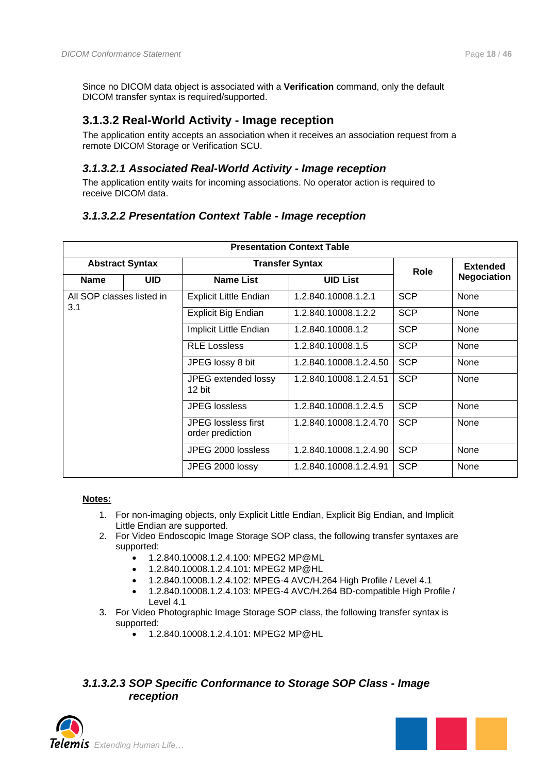Since no DICOM data object is associated with a **Verification** command, only the default DICOM transfer syntax is required/supported.

### <span id="page-17-0"></span>**3.1.3.2 Real-World Activity - Image reception**

The application entity accepts an association when it receives an association request from a remote DICOM Storage or Verification SCU.

#### <span id="page-17-1"></span>*3.1.3.2.1 Associated Real-World Activity - Image reception*

The application entity waits for incoming associations. No operator action is required to receive DICOM data.

#### <span id="page-17-2"></span>*3.1.3.2.2 Presentation Context Table - Image reception*

| <b>Presentation Context Table</b> |            |                                                |                        |                 |                    |
|-----------------------------------|------------|------------------------------------------------|------------------------|-----------------|--------------------|
| <b>Abstract Syntax</b>            |            | <b>Transfer Syntax</b>                         | <b>Role</b>            | <b>Extended</b> |                    |
| <b>Name</b>                       | <b>UID</b> | <b>Name List</b>                               | <b>UID List</b>        |                 | <b>Negociation</b> |
| All SOP classes listed in         |            | <b>Explicit Little Endian</b>                  | 1.2.840.10008.1.2.1    | <b>SCP</b>      | None               |
| 3.1                               |            | <b>Explicit Big Endian</b>                     | 1.2.840.10008.1.2.2    | <b>SCP</b>      | None               |
|                                   |            | Implicit Little Endian                         | 1.2.840.10008.1.2      | <b>SCP</b>      | <b>None</b>        |
|                                   |            | <b>RLE Lossless</b>                            | 1.2.840.10008.1.5      | <b>SCP</b>      | None               |
|                                   |            | JPEG lossy 8 bit                               | 1.2.840.10008.1.2.4.50 | <b>SCP</b>      | None               |
|                                   |            | JPEG extended lossy<br>12 bit                  | 1.2.840.10008.1.2.4.51 | <b>SCP</b>      | None               |
|                                   |            | <b>JPEG</b> lossless                           | 1.2.840.10008.1.2.4.5  | <b>SCP</b>      | None               |
|                                   |            | <b>JPEG</b> lossless first<br>order prediction | 1.2.840.10008.1.2.4.70 | <b>SCP</b>      | None               |
|                                   |            | JPEG 2000 lossless                             | 1.2.840.10008.1.2.4.90 | <b>SCP</b>      | None               |
|                                   |            | JPEG 2000 lossy                                | 1.2.840.10008.1.2.4.91 | <b>SCP</b>      | None               |

#### **Notes:**

- 1. For non-imaging objects, only Explicit Little Endian, Explicit Big Endian, and Implicit Little Endian are supported.
- 2. For Video Endoscopic Image Storage SOP class, the following transfer syntaxes are supported:
	- 1.2.840.10008.1.2.4.100: MPEG2 MP@ML
	- 1.2.840.10008.1.2.4.101: MPEG2 MP@HL
	- 1.2.840.10008.1.2.4.102: MPEG-4 AVC/H.264 High Profile / Level 4.1
	- 1.2.840.10008.1.2.4.103: MPEG-4 AVC/H.264 BD-compatible High Profile / Level 4.1
- 3. For Video Photographic Image Storage SOP class, the following transfer syntax is supported:
	- 1.2.840.10008.1.2.4.101: MPEG2 MP@HL

#### <span id="page-17-3"></span>*3.1.3.2.3 SOP Specific Conformance to Storage SOP Class - Image reception*



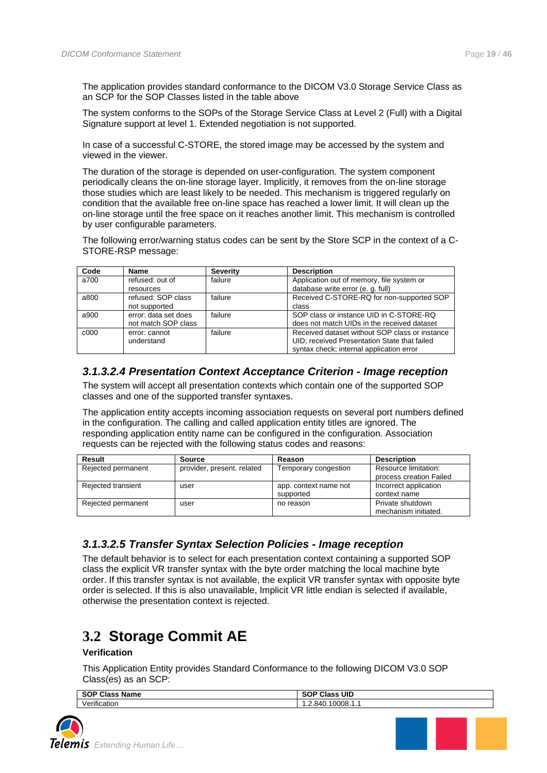The application provides standard conformance to the DICOM V3.0 Storage Service Class as an SCP for the SOP Classes listed in the table above

The system conforms to the SOPs of the Storage Service Class at Level 2 (Full) with a Digital Signature support at level 1. Extended negotiation is not supported.

In case of a successful C-STORE, the stored image may be accessed by the system and viewed in the viewer.

The duration of the storage is depended on user-configuration. The system component periodically cleans the on-line storage layer. Implicitly, it removes from the on-line storage those studies which are least likely to be needed. This mechanism is triggered regularly on condition that the available free on-line space has reached a lower limit. It will clean up the on-line storage until the free space on it reaches another limit. This mechanism is controlled by user configurable parameters.

The following error/warning status codes can be sent by the Store SCP in the context of a C-STORE-RSP message:

| Code             | <b>Name</b>          | <b>Severity</b> | <b>Description</b>                             |
|------------------|----------------------|-----------------|------------------------------------------------|
| a700             | refused: out of      | failure         | Application out of memory, file system or      |
|                  | resources            |                 | database write error (e. g. full)              |
| a800             | refused: SOP class   | failure         | Received C-STORE-RQ for non-supported SOP      |
|                  | not supported        |                 | class                                          |
| a900             | error: data set does | failure         | SOP class or instance UID in C-STORE-RQ        |
|                  | not match SOP class  |                 | does not match UIDs in the received dataset    |
| c <sub>000</sub> | error: cannot        | failure         | Received dataset without SOP class or instance |
|                  | understand           |                 | UID; received Presentation State that failed   |
|                  |                      |                 | syntax check; internal application error       |

#### <span id="page-18-0"></span>*3.1.3.2.4 Presentation Context Acceptance Criterion - Image reception*

The system will accept all presentation contexts which contain one of the supported SOP classes and one of the supported transfer syntaxes.

The application entity accepts incoming association requests on several port numbers defined in the configuration. The calling and called application entity titles are ignored. The responding application entity name can be configured in the configuration. Association requests can be rejected with the following status codes and reasons:

| Result             | <b>Source</b>              | Reason                             | <b>Description</b>                              |
|--------------------|----------------------------|------------------------------------|-------------------------------------------------|
| Rejected permanent | provider, present, related | Temporary congestion               | Resource limitation:<br>process creation Failed |
| Rejected transient | user                       | app. context name not<br>supported | Incorrect application<br>context name           |
| Rejected permanent | user                       | no reason                          | Private shutdown<br>mechanism initiated.        |

#### <span id="page-18-1"></span>*3.1.3.2.5 Transfer Syntax Selection Policies - Image reception*

The default behavior is to select for each presentation context containing a supported SOP class the explicit VR transfer syntax with the byte order matching the local machine byte order. If this transfer syntax is not available, the explicit VR transfer syntax with opposite byte order is selected. If this is also unavailable, Implicit VR little endian is selected if available, otherwise the presentation context is rejected.

## <span id="page-18-2"></span>**3.2 Storage Commit AE**

#### **Verification**

This Application Entity provides Standard Conformance to the following DICOM V3.0 SOP Class(es) as an SCP:

| <b>SOP Class</b><br><b>Name</b> | <b>UID</b><br>0.00001<br>Class<br>ov. |
|---------------------------------|---------------------------------------|
| $\cdot$                         | 40.10008.1.1                          |
| $\cdot$ $\cdot$                 | -840                                  |
| Verification                    | .                                     |

a na katika na katika na katika na katika na katika na katika na katika na katika na katika na katika na katik<br>Manazarta

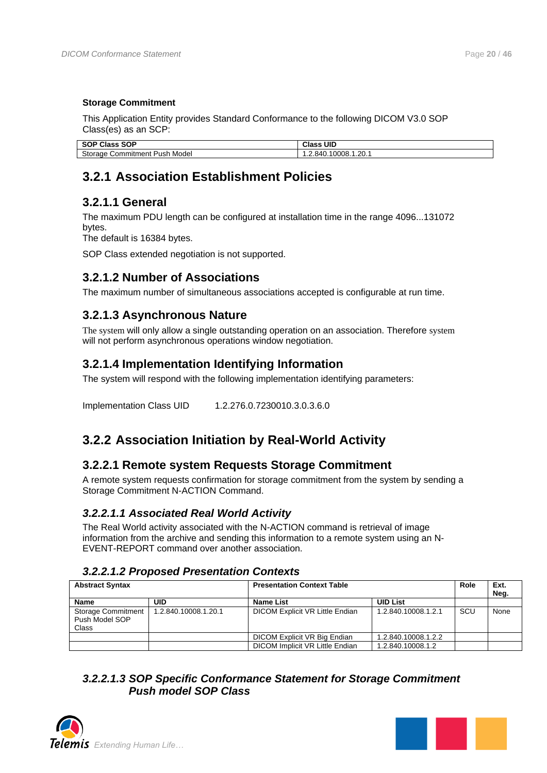#### **Storage Commitment**

This Application Entity provides Standard Conformance to the following DICOM V3.0 SOP Class(es) as an SCP:

| SOP<br>SOP CI<br>Clas:<br>5U           | UID<br><b>Class</b>               |  |
|----------------------------------------|-----------------------------------|--|
| Storage<br>Model<br>Commitment<br>Push | 1.20.1<br>0008.7<br>×дı<br>$\sim$ |  |

## <span id="page-19-0"></span>**3.2.1 Association Establishment Policies**

### <span id="page-19-1"></span>**3.2.1.1 General**

The maximum PDU length can be configured at installation time in the range 4096...131072 bytes.

The default is 16384 bytes.

SOP Class extended negotiation is not supported.

### <span id="page-19-2"></span>**3.2.1.2 Number of Associations**

The maximum number of simultaneous associations accepted is configurable at run time.

### <span id="page-19-3"></span>**3.2.1.3 Asynchronous Nature**

The system will only allow a single outstanding operation on an association. Therefore system will not perform asynchronous operations window negotiation.

### <span id="page-19-4"></span>**3.2.1.4 Implementation Identifying Information**

The system will respond with the following implementation identifying parameters:

Implementation Class UID 1.2.276.0.7230010.3.0.3.6.0

### <span id="page-19-5"></span>**3.2.2 Association Initiation by Real-World Activity**

### <span id="page-19-6"></span>**3.2.2.1 Remote system Requests Storage Commitment**

A remote system requests confirmation for storage commitment from the system by sending a Storage Commitment N-ACTION Command.

### <span id="page-19-7"></span>*3.2.2.1.1 Associated Real World Activity*

The Real World activity associated with the N-ACTION command is retrieval of image information from the archive and sending this information to a remote system using an N-EVENT-REPORT command over another association.

#### <span id="page-19-8"></span>*3.2.2.1.2 Proposed Presentation Contexts*

| <b>Abstract Syntax</b>                               |                      | <b>Presentation Context Table</b>      |                     | Role | Ext.<br>Neg. |
|------------------------------------------------------|----------------------|----------------------------------------|---------------------|------|--------------|
| <b>Name</b>                                          | UID                  | <b>Name List</b>                       | <b>UID List</b>     |      |              |
| <b>Storage Commitment</b><br>Push Model SOP<br>Class | 1.2.840.10008.1.20.1 | DICOM Explicit VR Little Endian        | 1.2.840.10008.1.2.1 | SCU  | None         |
|                                                      |                      | DICOM Explicit VR Big Endian           | 1.2.840.10008.1.2.2 |      |              |
|                                                      |                      | <b>DICOM Implicit VR Little Endian</b> | 1.2.840.10008.1.2   |      |              |

### <span id="page-19-9"></span>*3.2.2.1.3 SOP Specific Conformance Statement for Storage Commitment Push model SOP Class*



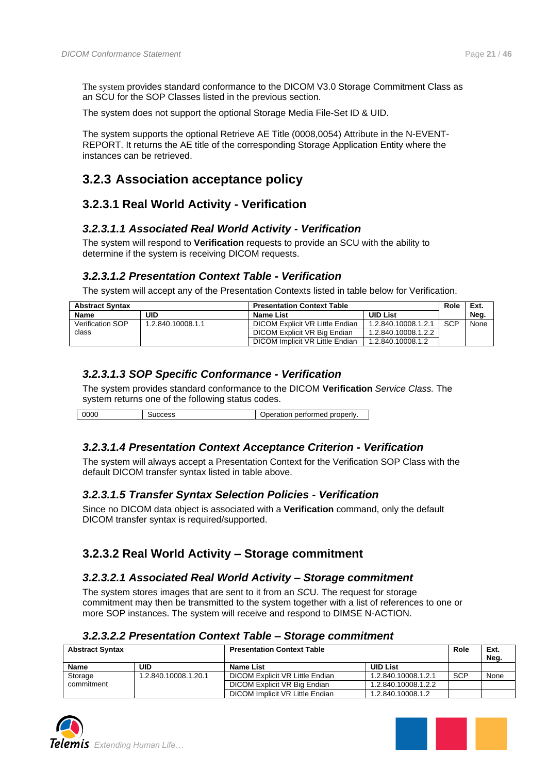The system provides standard conformance to the DICOM V3.0 Storage Commitment Class as an SCU for the SOP Classes listed in the previous section.

The system does not support the optional Storage Media File-Set ID & UID.

The system supports the optional Retrieve AE Title (0008,0054) Attribute in the N-EVENT-REPORT. It returns the AE title of the corresponding Storage Application Entity where the instances can be retrieved.

### <span id="page-20-0"></span>**3.2.3 Association acceptance policy**

### <span id="page-20-1"></span>**3.2.3.1 Real World Activity - Verification**

#### <span id="page-20-2"></span>*3.2.3.1.1 Associated Real World Activity - Verification*

The system will respond to **Verification** requests to provide an SCU with the ability to determine if the system is receiving DICOM requests.

#### <span id="page-20-3"></span>*3.2.3.1.2 Presentation Context Table - Verification*

The system will accept any of the Presentation Contexts listed in table below for Verification.

| <b>Abstract Syntax</b>  |                   | <b>Presentation Context Table</b> |                     | Role       | Ext. |
|-------------------------|-------------------|-----------------------------------|---------------------|------------|------|
| Name                    | UID               | <b>Name List</b>                  | <b>UID List</b>     |            | Neg. |
| <b>Verification SOP</b> | 1.2.840.10008.1.1 | DICOM Explicit VR Little Endian   | 1.2.840.10008.1.2.1 | <b>SCP</b> | None |
| class                   |                   | DICOM Explicit VR Big Endian      | 1.2.840.10008.1.2.2 |            |      |
|                         |                   | DICOM Implicit VR Little Endian   | 1.2.840.10008.1.2   |            |      |

#### <span id="page-20-4"></span>*3.2.3.1.3 SOP Specific Conformance - Verification*

The system provides standard conformance to the DICOM **Verification** *Service Class.* The system returns one of the following status codes.

0000 Success Contact Success Superation performed properly.

#### <span id="page-20-5"></span>*3.2.3.1.4 Presentation Context Acceptance Criterion - Verification*

The system will always accept a Presentation Context for the Verification SOP Class with the default DICOM transfer syntax listed in table above.

#### <span id="page-20-6"></span>*3.2.3.1.5 Transfer Syntax Selection Policies - Verification*

Since no DICOM data object is associated with a **Verification** command, only the default DICOM transfer syntax is required/supported.

### <span id="page-20-7"></span>**3.2.3.2 Real World Activity – Storage commitment**

#### <span id="page-20-8"></span>*3.2.3.2.1 Associated Real World Activity – Storage commitment*

The system stores images that are sent to it from an *SC*U. The request for storage commitment may then be transmitted to the system together with a list of references to one or more SOP instances. The system will receive and respond to DIMSE N-ACTION.

#### <span id="page-20-9"></span>*3.2.3.2.2 Presentation Context Table – Storage commitment*

| <b>Abstract Syntax</b> |                      | <b>Presentation Context Table</b> |                     | Role       | Ext.<br>Neg. |
|------------------------|----------------------|-----------------------------------|---------------------|------------|--------------|
| Name                   | UID                  | Name List                         | <b>UID List</b>     |            |              |
| Storage                | 1.2.840.10008.1.20.1 | DICOM Explicit VR Little Endian   | 1.2.840.10008.1.2.1 | <b>SCP</b> | None         |
| commitment             |                      | DICOM Explicit VR Big Endian      | 1.2.840.10008.1.2.2 |            |              |
|                        |                      | DICOM Implicit VR Little Endian   | 1.2.840.10008.1.2   |            |              |



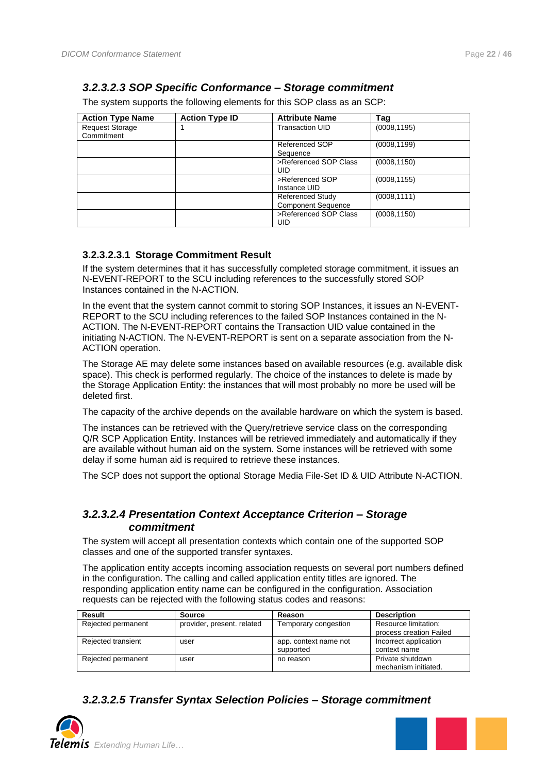### <span id="page-21-0"></span>*3.2.3.2.3 SOP Specific Conformance – Storage commitment*

The system supports the following elements for this SOP class as an SCP:

| <b>Action Type Name</b>              | <b>Action Type ID</b> | <b>Attribute Name</b>                                | Taq          |
|--------------------------------------|-----------------------|------------------------------------------------------|--------------|
| <b>Request Storage</b><br>Commitment |                       | <b>Transaction UID</b>                               | (0008, 1195) |
|                                      |                       | Referenced SOP<br>Sequence                           | (0008, 1199) |
|                                      |                       | >Referenced SOP Class<br>UID                         | (0008, 1150) |
|                                      |                       | >Referenced SOP<br>Instance UID                      | (0008, 1155) |
|                                      |                       | <b>Referenced Study</b><br><b>Component Sequence</b> | (0008, 1111) |
|                                      |                       | >Referenced SOP Class<br>UID                         | (0008, 1150) |

#### <span id="page-21-1"></span>**3.2.3.2.3.1 Storage Commitment Result**

If the system determines that it has successfully completed storage commitment, it issues an N-EVENT-REPORT to the SCU including references to the successfully stored SOP Instances contained in the N-ACTION.

In the event that the system cannot commit to storing SOP Instances, it issues an N-EVENT-REPORT to the SCU including references to the failed SOP Instances contained in the N-ACTION. The N-EVENT-REPORT contains the Transaction UID value contained in the initiating N-ACTION. The N-EVENT-REPORT is sent on a separate association from the N-ACTION operation.

The Storage AE may delete some instances based on available resources (e.g. available disk space). This check is performed regularly. The choice of the instances to delete is made by the Storage Application Entity: the instances that will most probably no more be used will be deleted first.

The capacity of the archive depends on the available hardware on which the system is based.

The instances can be retrieved with the Query/retrieve service class on the corresponding Q/R SCP Application Entity. Instances will be retrieved immediately and automatically if they are available without human aid on the system. Some instances will be retrieved with some delay if some human aid is required to retrieve these instances.

The SCP does not support the optional Storage Media File-Set ID & UID Attribute N-ACTION.

#### <span id="page-21-2"></span>*3.2.3.2.4 Presentation Context Acceptance Criterion – Storage commitment*

The system will accept all presentation contexts which contain one of the supported SOP classes and one of the supported transfer syntaxes.

The application entity accepts incoming association requests on several port numbers defined in the configuration. The calling and called application entity titles are ignored. The responding application entity name can be configured in the configuration. Association requests can be rejected with the following status codes and reasons:

| Result             | <b>Source</b>              | Reason                             | <b>Description</b>                              |
|--------------------|----------------------------|------------------------------------|-------------------------------------------------|
| Rejected permanent | provider, present, related | Temporary congestion               | Resource limitation:<br>process creation Failed |
| Rejected transient | user                       | app. context name not<br>supported | Incorrect application<br>context name           |
| Rejected permanent | user                       | no reason                          | Private shutdown<br>mechanism initiated.        |

<span id="page-21-3"></span>*3.2.3.2.5 Transfer Syntax Selection Policies – Storage commitment*



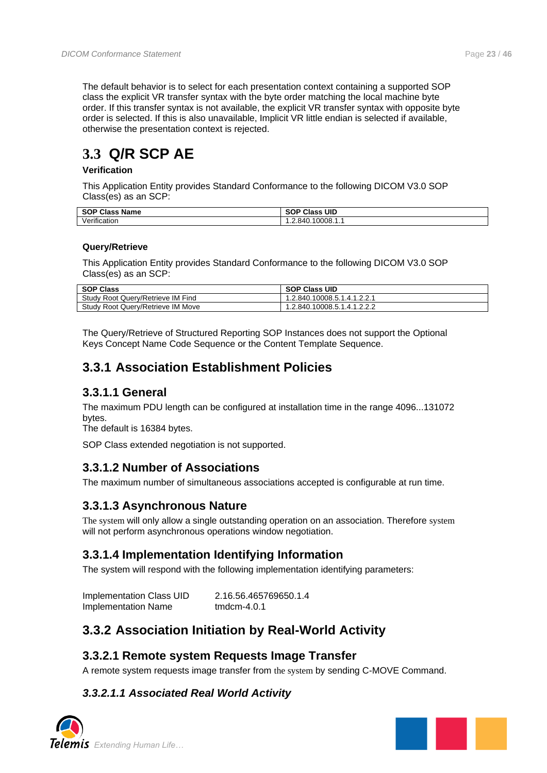The default behavior is to select for each presentation context containing a supported SOP class the explicit VR transfer syntax with the byte order matching the local machine byte order. If this transfer syntax is not available, the explicit VR transfer syntax with opposite byte order is selected. If this is also unavailable, Implicit VR little endian is selected if available, otherwise the presentation context is rejected.

## <span id="page-22-0"></span>**3.3 Q/R SCP AE**

#### **Verification**

This Application Entity provides Standard Conformance to the following DICOM V3.0 SOP Class(es) as an SCP:

| <b>SOP Class</b><br><b>Name</b> | <b>SOP Class UID</b> |
|---------------------------------|----------------------|
| Verification                    | 1.2.840.10008.1.1    |

#### **Query/Retrieve**

This Application Entity provides Standard Conformance to the following DICOM V3.0 SOP Class(es) as an SCP:

| <b>SOP Class</b>                  | <b>SOP Class UID</b>        |
|-----------------------------------|-----------------------------|
| Study Root Query/Retrieve IM Find | 1.2.840.10008.5.1.4.1.2.2.1 |
| Study Root Query/Retrieve IM Move | 1.2.840.10008.5.1.4.1.2.2.2 |

The Query/Retrieve of Structured Reporting SOP Instances does not support the Optional Keys Concept Name Code Sequence or the Content Template Sequence.

### <span id="page-22-1"></span>**3.3.1 Association Establishment Policies**

### <span id="page-22-2"></span>**3.3.1.1 General**

The maximum PDU length can be configured at installation time in the range 4096...131072 bytes.

The default is 16384 bytes.

SOP Class extended negotiation is not supported.

### <span id="page-22-3"></span>**3.3.1.2 Number of Associations**

The maximum number of simultaneous associations accepted is configurable at run time.

### <span id="page-22-4"></span>**3.3.1.3 Asynchronous Nature**

The system will only allow a single outstanding operation on an association. Therefore system will not perform asynchronous operations window negotiation.

### <span id="page-22-5"></span>**3.3.1.4 Implementation Identifying Information**

The system will respond with the following implementation identifying parameters:

Implementation Class UID 2.16.56.465769650.1.4 Implementation Name tmdcm-4.0.1

### <span id="page-22-6"></span>**3.3.2 Association Initiation by Real-World Activity**

### <span id="page-22-7"></span>**3.3.2.1 Remote system Requests Image Transfer**

A remote system requests image transfer from the system by sending C-MOVE Command.

### <span id="page-22-8"></span>*3.3.2.1.1 Associated Real World Activity*



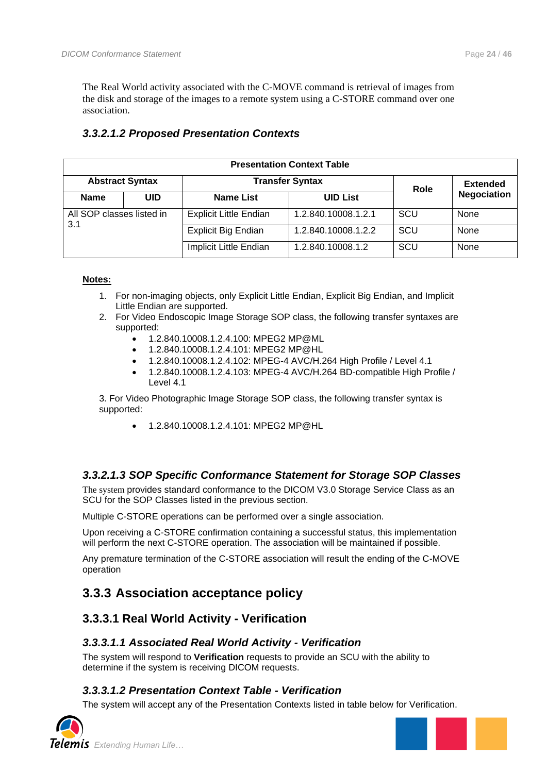The Real World activity associated with the C-MOVE command is retrieval of images from the disk and storage of the images to a remote system using a C-STORE command over one association.

|                           | <b>Presentation Context Table</b> |                               |                     |     |                    |  |  |
|---------------------------|-----------------------------------|-------------------------------|---------------------|-----|--------------------|--|--|
|                           | <b>Abstract Syntax</b>            | Role                          | <b>Extended</b>     |     |                    |  |  |
| <b>Name</b>               | <b>UID</b>                        | <b>Name List</b>              | <b>UID List</b>     |     | <b>Negociation</b> |  |  |
| All SOP classes listed in |                                   | <b>Explicit Little Endian</b> | 1.2.840.10008.1.2.1 | SCU | None               |  |  |
| 3.1                       |                                   | <b>Explicit Big Endian</b>    | 1.2.840.10008.1.2.2 | SCU | None               |  |  |
|                           |                                   | Implicit Little Endian        | 1.2.840.10008.1.2   | SCU | None               |  |  |

### <span id="page-23-0"></span>*3.3.2.1.2 Proposed Presentation Contexts*

#### **Notes:**

- 1. For non-imaging objects, only Explicit Little Endian, Explicit Big Endian, and Implicit Little Endian are supported.
- 2. For Video Endoscopic Image Storage SOP class, the following transfer syntaxes are supported:
	- 1.2.840.10008.1.2.4.100: MPEG2 MP@ML
	- 1.2.840.10008.1.2.4.101: MPEG2 MP@HL
	- 1.2.840.10008.1.2.4.102: MPEG-4 AVC/H.264 High Profile / Level 4.1
	- 1.2.840.10008.1.2.4.103: MPEG-4 AVC/H.264 BD-compatible High Profile / Level 4.1

3. For Video Photographic Image Storage SOP class, the following transfer syntax is supported:

• 1.2.840.10008.1.2.4.101: MPEG2 MP@HL

#### <span id="page-23-1"></span>*3.3.2.1.3 SOP Specific Conformance Statement for Storage SOP Classes*

The system provides standard conformance to the DICOM V3.0 Storage Service Class as an SCU for the SOP Classes listed in the previous section.

Multiple C-STORE operations can be performed over a single association.

Upon receiving a C-STORE confirmation containing a successful status, this implementation will perform the next C-STORE operation. The association will be maintained if possible.

Any premature termination of the C-STORE association will result the ending of the C-MOVE operation

### <span id="page-23-2"></span>**3.3.3 Association acceptance policy**

### <span id="page-23-3"></span>**3.3.3.1 Real World Activity - Verification**

#### <span id="page-23-4"></span>*3.3.3.1.1 Associated Real World Activity - Verification*

The system will respond to **Verification** requests to provide an SCU with the ability to determine if the system is receiving DICOM requests.

#### <span id="page-23-5"></span>*3.3.3.1.2 Presentation Context Table - Verification*

The system will accept any of the Presentation Contexts listed in table below for Verification.



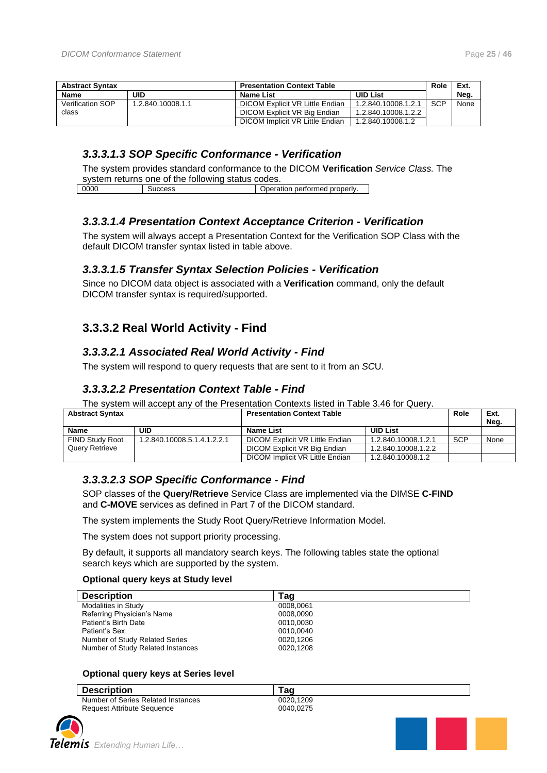| <b>Abstract Syntax</b> |                   | <b>Presentation Context Table</b> |                     |            | Ext. |
|------------------------|-------------------|-----------------------------------|---------------------|------------|------|
| Name                   | uid               | Name List                         | <b>UID List</b>     |            | Neg. |
| Verification SOP       | 1.2.840.10008.1.1 | DICOM Explicit VR Little Endian   | 1.2.840.10008.1.2.1 | <b>SCP</b> | None |
| class                  |                   | DICOM Explicit VR Big Endian      | 1.2.840.10008.1.2.2 |            |      |
|                        |                   | DICOM Implicit VR Little Endian   | 1.2.840.10008.1.2   |            |      |

#### <span id="page-24-0"></span>*3.3.3.1.3 SOP Specific Conformance - Verification*

The system provides standard conformance to the DICOM **Verification** *Service Class.* The system returns one of the following status codes.

| 000C<br>Operation performed properly. |  |  |
|---------------------------------------|--|--|
|                                       |  |  |

#### <span id="page-24-1"></span>*3.3.3.1.4 Presentation Context Acceptance Criterion - Verification*

The system will always accept a Presentation Context for the Verification SOP Class with the default DICOM transfer syntax listed in table above.

#### <span id="page-24-2"></span>*3.3.3.1.5 Transfer Syntax Selection Policies - Verification*

Since no DICOM data object is associated with a **Verification** command, only the default DICOM transfer syntax is required/supported.

### <span id="page-24-3"></span>**3.3.3.2 Real World Activity - Find**

#### <span id="page-24-4"></span>*3.3.3.2.1 Associated Real World Activity - Find*

<span id="page-24-5"></span>The system will respond to query requests that are sent to it from an *SC*U.

#### *3.3.3.2.2 Presentation Context Table - Find*

The system will accept any of the Presentation Contexts listed in Table 3.46 for Query.

| <b>Abstract Syntax</b> |                             | <b>Presentation Context Table</b> |                     | Role       | Ext.<br>Neg. |
|------------------------|-----------------------------|-----------------------------------|---------------------|------------|--------------|
| <b>Name</b>            | UID                         | <b>Name List</b>                  | <b>UID List</b>     |            |              |
| <b>FIND Study Root</b> | 1.2.840.10008.5.1.4.1.2.2.1 | DICOM Explicit VR Little Endian   | 1.2.840.10008.1.2.1 | <b>SCP</b> | None         |
| Query Retrieve         |                             | DICOM Explicit VR Big Endian      | 1.2.840.10008.1.2.2 |            |              |
|                        |                             | DICOM Implicit VR Little Endian   | 1.2.840.10008.1.2   |            |              |

#### <span id="page-24-6"></span>*3.3.3.2.3 SOP Specific Conformance - Find*

SOP classes of the **Query/Retrieve** Service Class are implemented via the DIMSE **C-FIND**  and **C-MOVE** services as defined in Part 7 of the DICOM standard.

The system implements the Study Root Query/Retrieve Information Model.

The system does not support priority processing.

By default, it supports all mandatory search keys. The following tables state the optional search keys which are supported by the system.

#### **Optional query keys at Study level**

| <b>Description</b>                | Taɑ       |  |
|-----------------------------------|-----------|--|
| Modalities in Study               | 0008.0061 |  |
| Referring Physician's Name        | 0008,0090 |  |
| Patient's Birth Date              | 0010.0030 |  |
| Patient's Sex                     | 0010,0040 |  |
| Number of Study Related Series    | 0020.1206 |  |
| Number of Study Related Instances | 0020,1208 |  |

#### **Optional query keys at Series level**

| <b>Description</b>                 | Taɑ       |  |
|------------------------------------|-----------|--|
| Number of Series Related Instances | 0020.1209 |  |
| Request Attribute Sequence         | 0040.0275 |  |

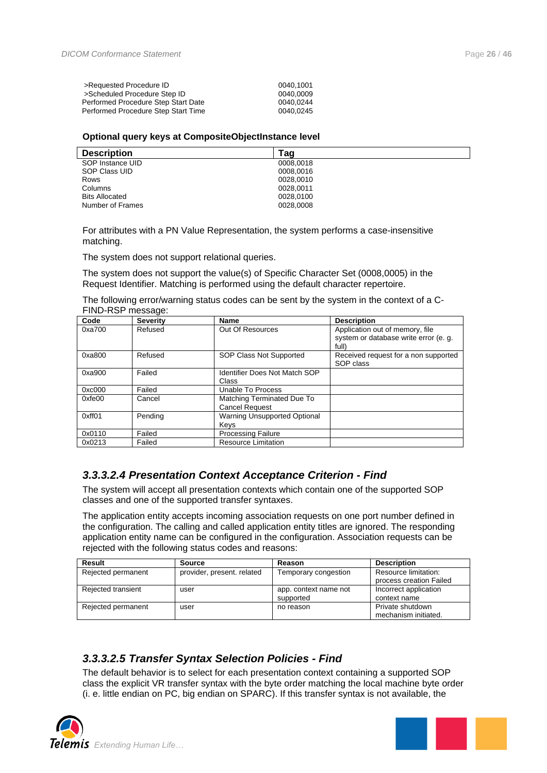| >Requested Procedure ID             | 0040.1001 |
|-------------------------------------|-----------|
| >Scheduled Procedure Step ID        | 0040.0009 |
| Performed Procedure Step Start Date | 0040.0244 |
| Performed Procedure Step Start Time | 0040.0245 |

#### **Optional query keys at CompositeObjectInstance level**

| <b>Description</b>    | Tag       |
|-----------------------|-----------|
| SOP Instance UID      | 0008,0018 |
| SOP Class UID         | 0008,0016 |
| Rows                  | 0028.0010 |
| Columns               | 0028.0011 |
| <b>Bits Allocated</b> | 0028.0100 |
| Number of Frames      | 0028,0008 |

For attributes with a PN Value Representation, the system performs a case-insensitive matching.

The system does not support relational queries.

The system does not support the value(s) of Specific Character Set (0008,0005) in the Request Identifier. Matching is performed using the default character repertoire.

The following error/warning status codes can be sent by the system in the context of a C-FIND-RSP message:

| Code   | <b>Severity</b> | Name                                                | <b>Description</b>                                                                |
|--------|-----------------|-----------------------------------------------------|-----------------------------------------------------------------------------------|
| 0xa700 | Refused         | Out Of Resources                                    | Application out of memory, file<br>system or database write error (e. g.<br>full) |
| 0xa800 | Refused         | SOP Class Not Supported                             | Received request for a non supported<br>SOP class                                 |
| 0xa900 | Failed          | <b>Identifier Does Not Match SOP</b><br>Class       |                                                                                   |
| 0xc000 | Failed          | Unable To Process                                   |                                                                                   |
| 0xfe00 | Cancel          | Matching Terminated Due To<br><b>Cancel Request</b> |                                                                                   |
| 0xff01 | Pending         | <b>Warning Unsupported Optional</b><br>Kevs         |                                                                                   |
| 0x0110 | Failed          | <b>Processing Failure</b>                           |                                                                                   |
| 0x0213 | Failed          | <b>Resource Limitation</b>                          |                                                                                   |

#### <span id="page-25-0"></span>*3.3.3.2.4 Presentation Context Acceptance Criterion - Find*

The system will accept all presentation contexts which contain one of the supported SOP classes and one of the supported transfer syntaxes.

The application entity accepts incoming association requests on one port number defined in the configuration. The calling and called application entity titles are ignored. The responding application entity name can be configured in the configuration. Association requests can be rejected with the following status codes and reasons:

| Result             | Source                     | Reason                | <b>Description</b>      |
|--------------------|----------------------------|-----------------------|-------------------------|
| Rejected permanent | provider, present. related | Temporary congestion  | Resource limitation:    |
|                    |                            |                       | process creation Failed |
| Rejected transient | user                       | app. context name not | Incorrect application   |
|                    |                            | supported             | context name            |
| Rejected permanent | user                       | no reason             | Private shutdown        |
|                    |                            |                       | mechanism initiated.    |

### <span id="page-25-1"></span>*3.3.3.2.5 Transfer Syntax Selection Policies - Find*

The default behavior is to select for each presentation context containing a supported SOP class the explicit VR transfer syntax with the byte order matching the local machine byte order (i. e. little endian on PC, big endian on SPARC). If this transfer syntax is not available, the



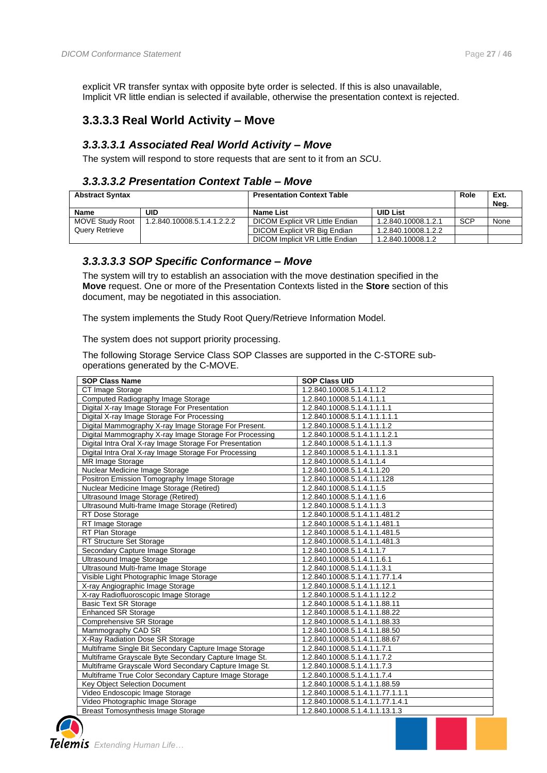explicit VR transfer syntax with opposite byte order is selected. If this is also unavailable, Implicit VR little endian is selected if available, otherwise the presentation context is rejected.

### <span id="page-26-0"></span>**3.3.3.3 Real World Activity – Move**

#### <span id="page-26-1"></span>*3.3.3.3.1 Associated Real World Activity – Move*

<span id="page-26-2"></span>The system will respond to store requests that are sent to it from an *SC*U.

#### *3.3.3.3.2 Presentation Context Table – Move*

| <b>Abstract Syntax</b> |                             | <b>Presentation Context Table</b> |                     | Role       | Ext.<br>Neg. |
|------------------------|-----------------------------|-----------------------------------|---------------------|------------|--------------|
| <b>Name</b>            | <b>UID</b>                  | <b>Name List</b>                  | <b>UID List</b>     |            |              |
| MOVE Study Root        | 1.2.840.10008.5.1.4.1.2.2.2 | DICOM Explicit VR Little Endian   | 1.2.840.10008.1.2.1 | <b>SCP</b> | None         |
| <b>Query Retrieve</b>  |                             | DICOM Explicit VR Big Endian      | 1.2.840.10008.1.2.2 |            |              |
|                        |                             | DICOM Implicit VR Little Endian   | 1.2.840.10008.1.2   |            |              |

#### <span id="page-26-3"></span>*3.3.3.3.3 SOP Specific Conformance – Move*

The system will try to establish an association with the move destination specified in the **Move** request. One or more of the Presentation Contexts listed in the **Store** section of this document, may be negotiated in this association.

The system implements the Study Root Query/Retrieve Information Model.

The system does not support priority processing.

The following Storage Service Class SOP Classes are supported in the C-STORE suboperations generated by the C-MOVE.

| <b>SOP Class Name</b>                                   | <b>SOP Class UID</b>             |
|---------------------------------------------------------|----------------------------------|
| CT Image Storage                                        | 1.2.840.10008.5.1.4.1.1.2        |
|                                                         |                                  |
| Computed Radiography Image Storage                      | 1.2.840.10008.5.1.4.1.1.1        |
| Digital X-ray Image Storage For Presentation            | 1.2.840.10008.5.1.4.1.1.1.1      |
| Digital X-ray Image Storage For Processing              | 1.2.840.10008.5.1.4.1.1.1.1.1    |
| Digital Mammography X-ray Image Storage For Present.    | 1.2.840.10008.5.1.4.1.1.1.2      |
| Digital Mammography X-ray Image Storage For Processing  | 1.2.840.10008.5.1.4.1.1.1.2.1    |
| Digital Intra Oral X-ray Image Storage For Presentation | 1.2.840.10008.5.1.4.1.1.1.3      |
| Digital Intra Oral X-ray Image Storage For Processing   | 1.2.840.10008.5.1.4.1.1.1.3.1    |
| MR Image Storage                                        | 1.2.840.10008.5.1.4.1.1.4        |
| Nuclear Medicine Image Storage                          | 1.2.840.10008.5.1.4.1.1.20       |
| Positron Emission Tomography Image Storage              | 1.2.840.10008.5.1.4.1.1.128      |
| Nuclear Medicine Image Storage (Retired)                | 1.2.840.10008.5.1.4.1.1.5        |
| Ultrasound Image Storage (Retired)                      | 1.2.840.10008.5.1.4.1.1.6        |
| Ultrasound Multi-frame Image Storage (Retired)          | 1.2.840.10008.5.1.4.1.1.3        |
| RT Dose Storage                                         | 1.2.840.10008.5.1.4.1.1.481.2    |
| RT Image Storage                                        | 1.2.840.10008.5.1.4.1.1.481.1    |
| RT Plan Storage                                         | 1.2.840.10008.5.1.4.1.1.481.5    |
| RT Structure Set Storage                                | 1.2.840.10008.5.1.4.1.1.481.3    |
| Secondary Capture Image Storage                         | 1.2.840.10008.5.1.4.1.1.7        |
| <b>Ultrasound Image Storage</b>                         | 1.2.840.10008.5.1.4.1.1.6.1      |
| Ultrasound Multi-frame Image Storage                    | 1.2.840.10008.5.1.4.1.1.3.1      |
| Visible Light Photographic Image Storage                | 1.2.840.10008.5.1.4.1.1.77.1.4   |
| X-ray Angiographic Image Storage                        | 1.2.840.10008.5.1.4.1.1.12.1     |
| X-ray Radiofluoroscopic Image Storage                   | 1.2.840.10008.5.1.4.1.1.12.2     |
| <b>Basic Text SR Storage</b>                            | 1.2.840.10008.5.1.4.1.1.88.11    |
| <b>Enhanced SR Storage</b>                              | 1.2.840.10008.5.1.4.1.1.88.22    |
| Comprehensive SR Storage                                | 1.2.840.10008.5.1.4.1.1.88.33    |
| Mammography CAD SR                                      | 1.2.840.10008.5.1.4.1.1.88.50    |
| X-Ray Radiation Dose SR Storage                         | 1.2.840.10008.5.1.4.1.1.88.67    |
| Multiframe Single Bit Secondary Capture Image Storage   | 1.2.840.10008.5.1.4.1.1.7.1      |
| Multiframe Grayscale Byte Secondary Capture Image St.   | 1.2.840.10008.5.1.4.1.1.7.2      |
| Multiframe Grayscale Word Secondary Capture Image St.   | 1.2.840.10008.5.1.4.1.1.7.3      |
| Multiframe True Color Secondary Capture Image Storage   | 1.2.840.10008.5.1.4.1.1.7.4      |
| <b>Key Object Selection Document</b>                    | 1.2.840.10008.5.1.4.1.1.88.59    |
| Video Endoscopic Image Storage                          | 1.2.840.10008.5.1.4.1.1.77.1.1.1 |
| Video Photographic Image Storage                        | 1.2.840.10008.5.1.4.1.1.77.1.4.1 |
| <b>Breast Tomosynthesis Image Storage</b>               | 1.2.840.10008.5.1.4.1.1.13.1.3   |



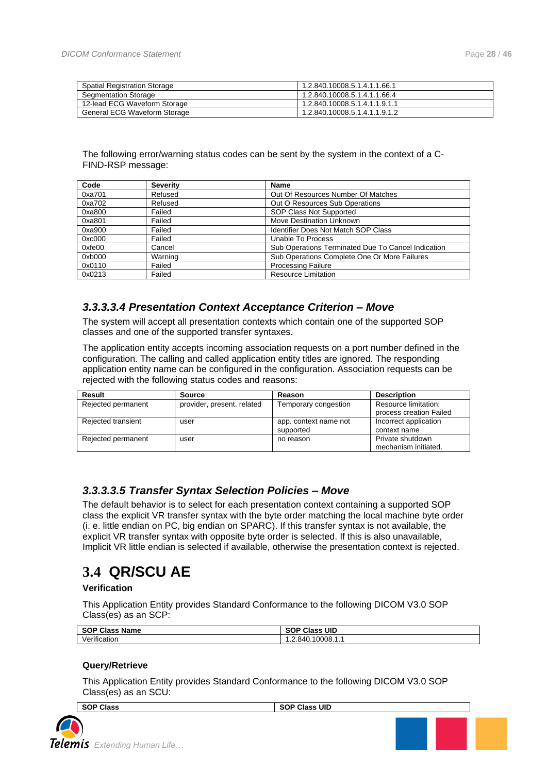| <b>Spatial Registration Storage</b> | 1.2.840.10008.5.1.4.1.1.66.1  |
|-------------------------------------|-------------------------------|
| Segmentation Storage                | 1.2.840.10008.5.1.4.1.1.66.4  |
| 12-lead ECG Waveform Storage        | 1.2.840.10008.5.1.4.1.1.9.1.1 |
| General ECG Waveform Storage        | 1.2.840.10008.5.1.4.1.1.9.1.2 |

#### The following error/warning status codes can be sent by the system in the context of a C-FIND-RSP message:

| Code   | <b>Severity</b> | Name                                               |
|--------|-----------------|----------------------------------------------------|
| 0xa701 | Refused         | Out Of Resources Number Of Matches                 |
| 0xa702 | Refused         | Out O Resources Sub Operations                     |
| 0xa800 | Failed          | SOP Class Not Supported                            |
| 0xa801 | Failed          | <b>Move Destination Unknown</b>                    |
| 0xa900 | Failed          | <b>Identifier Does Not Match SOP Class</b>         |
| 0xc000 | Failed          | Unable To Process                                  |
| 0xfe00 | Cancel          | Sub Operations Terminated Due To Cancel Indication |
| 0xb000 | Warning         | Sub Operations Complete One Or More Failures       |
| 0x0110 | Failed          | <b>Processing Failure</b>                          |
| 0x0213 | Failed          | <b>Resource Limitation</b>                         |

#### <span id="page-27-0"></span>*3.3.3.3.4 Presentation Context Acceptance Criterion – Move*

The system will accept all presentation contexts which contain one of the supported SOP classes and one of the supported transfer syntaxes.

The application entity accepts incoming association requests on a port number defined in the configuration. The calling and called application entity titles are ignored. The responding application entity name can be configured in the configuration. Association requests can be rejected with the following status codes and reasons:

| Result             | Source                     | Reason                | <b>Description</b>      |
|--------------------|----------------------------|-----------------------|-------------------------|
| Rejected permanent | provider, present. related | Temporary congestion  | Resource limitation:    |
|                    |                            |                       | process creation Failed |
| Rejected transient | user                       | app. context name not | Incorrect application   |
|                    |                            | supported             | context name            |
| Rejected permanent | user                       | no reason             | Private shutdown        |
|                    |                            |                       | mechanism initiated.    |

#### <span id="page-27-1"></span>*3.3.3.3.5 Transfer Syntax Selection Policies – Move*

The default behavior is to select for each presentation context containing a supported SOP class the explicit VR transfer syntax with the byte order matching the local machine byte order (i. e. little endian on PC, big endian on SPARC). If this transfer syntax is not available, the explicit VR transfer syntax with opposite byte order is selected. If this is also unavailable, Implicit VR little endian is selected if available, otherwise the presentation context is rejected.

## <span id="page-27-2"></span>**3.4 QR/SCU AE**

#### **Verification**

This Application Entity provides Standard Conformance to the following DICOM V3.0 SOP Class(es) as an SCP:

| <b>SOP Class Name</b> | UID<br><b>Class</b><br><b>SOP</b> |
|-----------------------|-----------------------------------|
| Verification          | 1.2.840.10008.1.1                 |

#### **Query/Retrieve**

This Application Entity provides Standard Conformance to the following DICOM V3.0 SOP Class(es) as an SCU:

**SOP Class** SOP Class UID

*Extending Human Life…*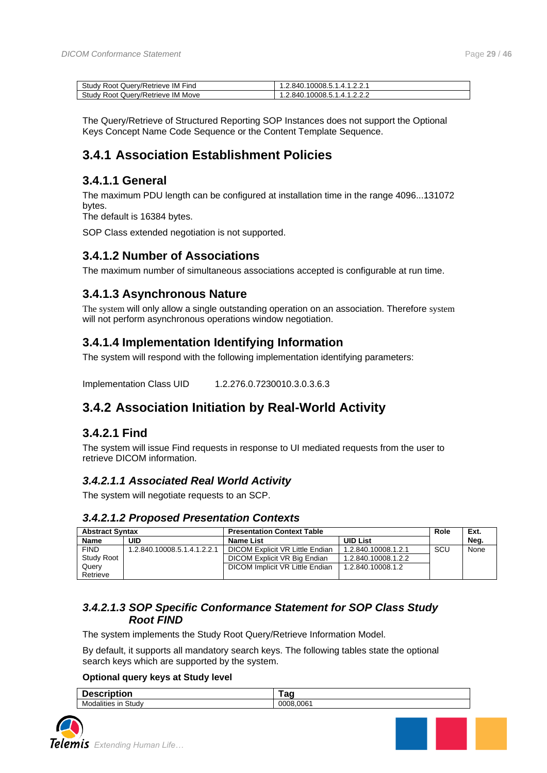| -<br>Study<br>IM<br>Query/Retrieve<br>Find<br>Root | 10008.5.1.4.<br>1.2.840.<br>.   |
|----------------------------------------------------|---------------------------------|
| Study<br>ΙM<br>Move<br>/Retrieve<br>Root<br>Querv/ | 10008.5.1.4.<br>.2.840.<br>$-1$ |

The Query/Retrieve of Structured Reporting SOP Instances does not support the Optional Keys Concept Name Code Sequence or the Content Template Sequence.

### <span id="page-28-0"></span>**3.4.1 Association Establishment Policies**

#### <span id="page-28-1"></span>**3.4.1.1 General**

The maximum PDU length can be configured at installation time in the range 4096...131072 bytes.

The default is 16384 bytes.

SOP Class extended negotiation is not supported.

#### <span id="page-28-2"></span>**3.4.1.2 Number of Associations**

The maximum number of simultaneous associations accepted is configurable at run time.

### <span id="page-28-3"></span>**3.4.1.3 Asynchronous Nature**

The system will only allow a single outstanding operation on an association. Therefore system will not perform asynchronous operations window negotiation.

### <span id="page-28-4"></span>**3.4.1.4 Implementation Identifying Information**

The system will respond with the following implementation identifying parameters:

<span id="page-28-5"></span>Implementation Class UID 1.2.276.0.7230010.3.0.3.6.3

### **3.4.2 Association Initiation by Real-World Activity**

### <span id="page-28-6"></span>**3.4.2.1 Find**

The system will issue Find requests in response to UI mediated requests from the user to retrieve DICOM information.

#### <span id="page-28-7"></span>*3.4.2.1.1 Associated Real World Activity*

The system will negotiate requests to an SCP.

#### <span id="page-28-8"></span>*3.4.2.1.2 Proposed Presentation Contexts*

| <b>Abstract Syntax</b> |                             | <b>Presentation Context Table</b> |                     | Role | Ext. |
|------------------------|-----------------------------|-----------------------------------|---------------------|------|------|
| <b>Name</b>            | UID                         | Name List                         | <b>UID List</b>     |      | Neg. |
| <b>FIND</b>            | 1.2.840.10008.5.1.4.1.2.2.1 | DICOM Explicit VR Little Endian   | 1.2.840.10008.1.2.1 | SCU  | None |
| Study Root             |                             | DICOM Explicit VR Big Endian      | 1.2.840.10008.1.2.2 |      |      |
| Query                  |                             | DICOM Implicit VR Little Endian   | 1.2.840.10008.1.2   |      |      |
| Retrieve               |                             |                                   |                     |      |      |

#### <span id="page-28-9"></span>*3.4.2.1.3 SOP Specific Conformance Statement for SOP Class Study Root FIND*

The system implements the Study Root Query/Retrieve Information Model.

By default, it supports all mandatory search keys. The following tables state the optional search keys which are supported by the system.

#### **Optional query keys at Study level**

| <b>Description</b>     | $\sim$<br>. . |
|------------------------|---------------|
| Study<br>Modalities in | 0008.0061     |



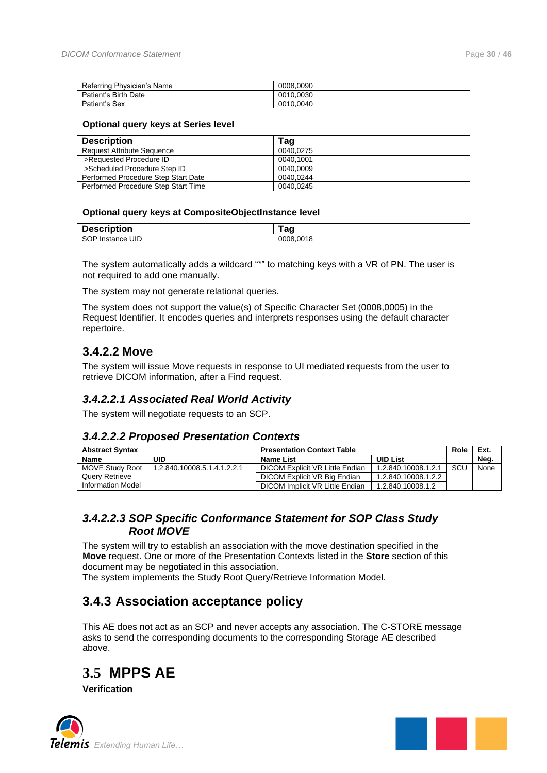| Referring Physician's Name | 0008.0090 |
|----------------------------|-----------|
| Patient's Birth Date       | 0010.0030 |
| Patient's Sex              | 0010.0040 |

#### **Optional query keys at Series level**

| <b>Description</b>                  | Tag       |
|-------------------------------------|-----------|
| <b>Request Attribute Sequence</b>   | 0040.0275 |
| >Requested Procedure ID             | 0040.1001 |
| >Scheduled Procedure Step ID        | 0040.0009 |
| Performed Procedure Step Start Date | 0040.0244 |
| Performed Procedure Step Start Time | 0040.0245 |

#### **Optional query keys at CompositeObjectInstance level**

| <b>Description</b>                    | --             |
|---------------------------------------|----------------|
| DESCI                                 | au             |
| SOP <sub>I</sub><br>UID<br>Instance l | .0018<br>0008. |

The system automatically adds a wildcard "\*" to matching keys with a VR of PN. The user is not required to add one manually.

The system may not generate relational queries.

The system does not support the value(s) of Specific Character Set (0008,0005) in the Request Identifier. It encodes queries and interprets responses using the default character repertoire.

#### <span id="page-29-0"></span>**3.4.2.2 Move**

The system will issue Move requests in response to UI mediated requests from the user to retrieve DICOM information, after a Find request.

#### <span id="page-29-1"></span>*3.4.2.2.1 Associated Real World Activity*

<span id="page-29-2"></span>The system will negotiate requests to an SCP.

#### *3.4.2.2.2 Proposed Presentation Contexts*

| <b>Abstract Syntax</b> | <b>Presentation Context Table</b>   |                                 |                     |            |      | Role | Ext. |
|------------------------|-------------------------------------|---------------------------------|---------------------|------------|------|------|------|
| <b>Name</b>            | UID<br><b>UID List</b><br>Name List |                                 |                     |            | Neg. |      |      |
| MOVE Study Root        | 1.2.840.10008.5.1.4.1.2.2.1         | DICOM Explicit VR Little Endian | 1.2.840.10008.1.2.1 | <b>SCU</b> | None |      |      |
| <b>Query Retrieve</b>  |                                     | DICOM Explicit VR Big Endian    | 1.2.840.10008.1.2.2 |            |      |      |      |
| Information Model      |                                     | DICOM Implicit VR Little Endian | 1.2.840.10008.1.2   |            |      |      |      |

#### <span id="page-29-3"></span>*3.4.2.2.3 SOP Specific Conformance Statement for SOP Class Study Root MOVE*

The system will try to establish an association with the move destination specified in the **Move** request. One or more of the Presentation Contexts listed in the **Store** section of this document may be negotiated in this association.

<span id="page-29-4"></span>The system implements the Study Root Query/Retrieve Information Model.

### **3.4.3 Association acceptance policy**

This AE does not act as an SCP and never accepts any association. The C-STORE message asks to send the corresponding documents to the corresponding Storage AE described above.

<span id="page-29-5"></span>

**Verification**



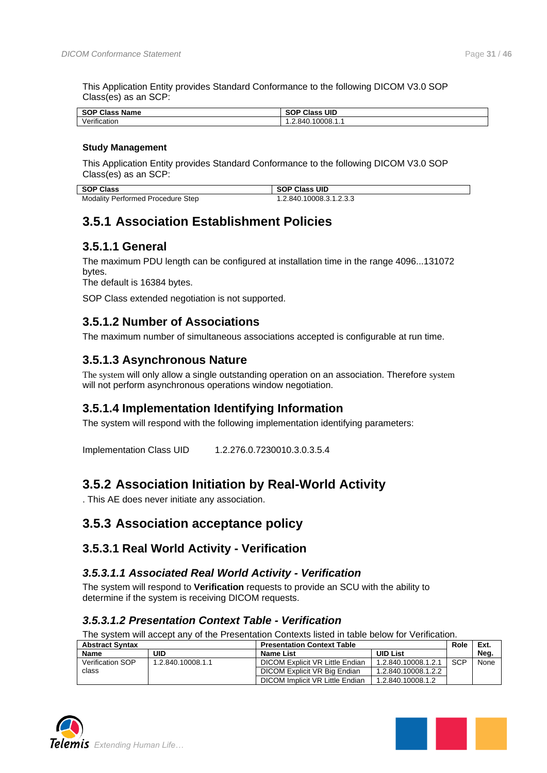This Application Entity provides Standard Conformance to the following DICOM V3.0 SOP Class(es) as an SCP:

| <b>SOP Class</b><br>Name                | UID<br>$\sim$<br>$\sim$<br>Class<br>่วบห |
|-----------------------------------------|------------------------------------------|
| .<br>$\cdot$<br>ver'<br>.<br>rification | 10008.1.1<br>84í<br>                     |

#### **Study Management**

This Application Entity provides Standard Conformance to the following DICOM V3.0 SOP Class(es) as an SCP:

| SOP Class                                | <b>SOP Class UID</b>    |
|------------------------------------------|-------------------------|
| <b>Modality Performed Procedure Step</b> | 1.2.840.10008.3.1.2.3.3 |

### <span id="page-30-0"></span>**3.5.1 Association Establishment Policies**

### <span id="page-30-1"></span>**3.5.1.1 General**

The maximum PDU length can be configured at installation time in the range 4096...131072 bytes.

The default is 16384 bytes.

SOP Class extended negotiation is not supported.

### <span id="page-30-2"></span>**3.5.1.2 Number of Associations**

The maximum number of simultaneous associations accepted is configurable at run time.

### <span id="page-30-3"></span>**3.5.1.3 Asynchronous Nature**

The system will only allow a single outstanding operation on an association. Therefore system will not perform asynchronous operations window negotiation.

### <span id="page-30-4"></span>**3.5.1.4 Implementation Identifying Information**

The system will respond with the following implementation identifying parameters:

Implementation Class UID 1.2.276.0.7230010.3.0.3.5.4

### <span id="page-30-5"></span>**3.5.2 Association Initiation by Real-World Activity**

. This AE does never initiate any association.

### <span id="page-30-6"></span>**3.5.3 Association acceptance policy**

#### <span id="page-30-7"></span>**3.5.3.1 Real World Activity - Verification**

#### <span id="page-30-8"></span>*3.5.3.1.1 Associated Real World Activity - Verification*

The system will respond to **Verification** requests to provide an SCU with the ability to determine if the system is receiving DICOM requests.

#### <span id="page-30-9"></span>*3.5.3.1.2 Presentation Context Table - Verification*

The system will accept any of the Presentation Contexts listed in table below for Verification.

| <b>Abstract Syntax</b><br><b>Presentation Context Table</b> |                   |                                 |                     |            | Ext. |
|-------------------------------------------------------------|-------------------|---------------------------------|---------------------|------------|------|
| <b>Name</b>                                                 | UID               | Name List                       | <b>UID List</b>     |            | Neg. |
| Verification SOP                                            | 1.2.840.10008.1.1 | DICOM Explicit VR Little Endian | 1.2.840.10008.1.2.1 | <b>SCP</b> | None |
| class                                                       |                   | DICOM Explicit VR Big Endian    | 1.2.840.10008.1.2.2 |            |      |
|                                                             |                   | DICOM Implicit VR Little Endian | 1.2.840.10008.1.2   |            |      |



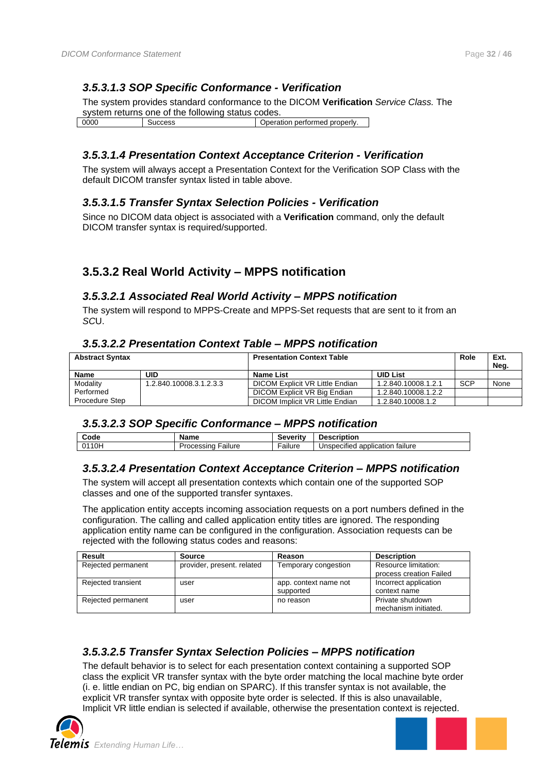### <span id="page-31-0"></span>*3.5.3.1.3 SOP Specific Conformance - Verification*

The system provides standard conformance to the DICOM **Verification** *Service Class.* The system returns one of the following status codes.

0000 Success Success Superation performed properly.

### <span id="page-31-1"></span>*3.5.3.1.4 Presentation Context Acceptance Criterion - Verification*

The system will always accept a Presentation Context for the Verification SOP Class with the default DICOM transfer syntax listed in table above.

#### <span id="page-31-2"></span>*3.5.3.1.5 Transfer Syntax Selection Policies - Verification*

Since no DICOM data object is associated with a **Verification** command, only the default DICOM transfer syntax is required/supported.

### <span id="page-31-3"></span>**3.5.3.2 Real World Activity – MPPS notification**

#### <span id="page-31-4"></span>*3.5.3.2.1 Associated Real World Activity – MPPS notification*

The system will respond to MPPS-Create and MPPS-Set requests that are sent to it from an *SC*U.

#### <span id="page-31-5"></span>*3.5.3.2.2 Presentation Context Table – MPPS notification*

| <b>Presentation Context Table</b><br><b>Abstract Syntax</b> |                         | Role                            | Ext.<br>Neg.        |            |      |
|-------------------------------------------------------------|-------------------------|---------------------------------|---------------------|------------|------|
| <b>Name</b>                                                 | UID                     | Name List                       | <b>UID List</b>     |            |      |
| Modality                                                    | 1.2.840.10008.3.1.2.3.3 | DICOM Explicit VR Little Endian | 1.2.840.10008.1.2.1 | <b>SCP</b> | None |
| Performed                                                   |                         | DICOM Explicit VR Big Endian    | 1.2.840.10008.1.2.2 |            |      |
| <b>Procedure Step</b>                                       |                         | DICOM Implicit VR Little Endian | 1.2.840.10008.1.2   |            |      |

#### <span id="page-31-6"></span>*3.5.3.2.3 SOP Specific Conformance – MPPS notification*

| Code                         | Name              | veritv؛<br>JCVC.                    | scription:                                             |
|------------------------------|-------------------|-------------------------------------|--------------------------------------------------------|
| 10 <sub>h</sub><br>$\bigcap$ | allure<br>cessing | $\overline{\phantom{0}}$<br>Failure | $\cdots$<br>taılure<br>application<br>specified<br>Jns |

#### <span id="page-31-7"></span>*3.5.3.2.4 Presentation Context Acceptance Criterion – MPPS notification*

The system will accept all presentation contexts which contain one of the supported SOP classes and one of the supported transfer syntaxes.

The application entity accepts incoming association requests on a port numbers defined in the configuration. The calling and called application entity titles are ignored. The responding application entity name can be configured in the configuration. Association requests can be rejected with the following status codes and reasons:

| Result             | Source                     | Reason                | <b>Description</b>      |
|--------------------|----------------------------|-----------------------|-------------------------|
| Rejected permanent | provider, present, related | Temporary congestion  | Resource limitation:    |
|                    |                            |                       | process creation Failed |
| Rejected transient | user                       | app. context name not | Incorrect application   |
|                    |                            | supported             | context name            |
| Rejected permanent | user                       | no reason             | Private shutdown        |
|                    |                            |                       | mechanism initiated.    |

### <span id="page-31-8"></span>*3.5.3.2.5 Transfer Syntax Selection Policies – MPPS notification*

The default behavior is to select for each presentation context containing a supported SOP class the explicit VR transfer syntax with the byte order matching the local machine byte order (i. e. little endian on PC, big endian on SPARC). If this transfer syntax is not available, the explicit VR transfer syntax with opposite byte order is selected. If this is also unavailable, Implicit VR little endian is selected if available, otherwise the presentation context is rejected.



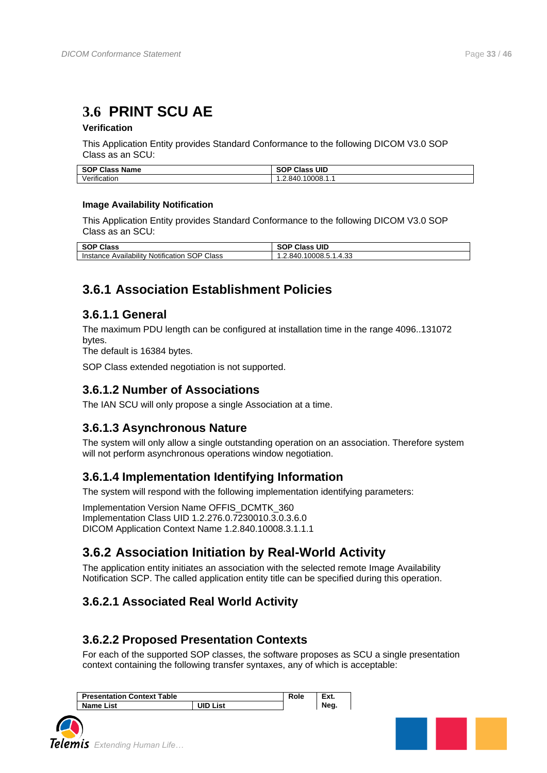## <span id="page-32-0"></span>**3.6 PRINT SCU AE**

#### **Verification**

This Application Entity provides Standard Conformance to the following DICOM V3.0 SOP Class as an SCU:

| <b>SOP Class Name</b> | Class UID<br><b>SOP</b> |
|-----------------------|-------------------------|
| Verification          | 10008.1.1<br>1.2.840.   |

#### **Image Availability Notification**

This Application Entity provides Standard Conformance to the following DICOM V3.0 SOP Class as an SCU:

| <b>SOP Class</b>                     | <b>SOP Class UID</b> |
|--------------------------------------|----------------------|
| SOP Class                            | 10008.5.1.4.33       |
| Instance Availability Notification \ | .2.840.7             |

### <span id="page-32-1"></span>**3.6.1 Association Establishment Policies**

### <span id="page-32-2"></span>**3.6.1.1 General**

The maximum PDU length can be configured at installation time in the range 4096..131072 bytes.

The default is 16384 bytes.

SOP Class extended negotiation is not supported.

### <span id="page-32-3"></span>**3.6.1.2 Number of Associations**

The IAN SCU will only propose a single Association at a time.

### <span id="page-32-4"></span>**3.6.1.3 Asynchronous Nature**

The system will only allow a single outstanding operation on an association. Therefore system will not perform asynchronous operations window negotiation.

### <span id="page-32-5"></span>**3.6.1.4 Implementation Identifying Information**

The system will respond with the following implementation identifying parameters:

Implementation Version Name OFFIS\_DCMTK\_360 Implementation Class UID 1.2.276.0.7230010.3.0.3.6.0 DICOM Application Context Name 1.2.840.10008.3.1.1.1

### <span id="page-32-6"></span>**3.6.2 Association Initiation by Real-World Activity**

The application entity initiates an association with the selected remote Image Availability Notification SCP. The called application entity title can be specified during this operation.

### <span id="page-32-7"></span>**3.6.2.1 Associated Real World Activity**

### <span id="page-32-8"></span>**3.6.2.2 Proposed Presentation Contexts**

For each of the supported SOP classes, the software proposes as SCU a single presentation context containing the following transfer syntaxes, any of which is acceptable:

| <b>Presentation Context Table</b> |          | Role | Ext. |
|-----------------------------------|----------|------|------|
| <b>Name List</b>                  | UID List |      | Neg. |



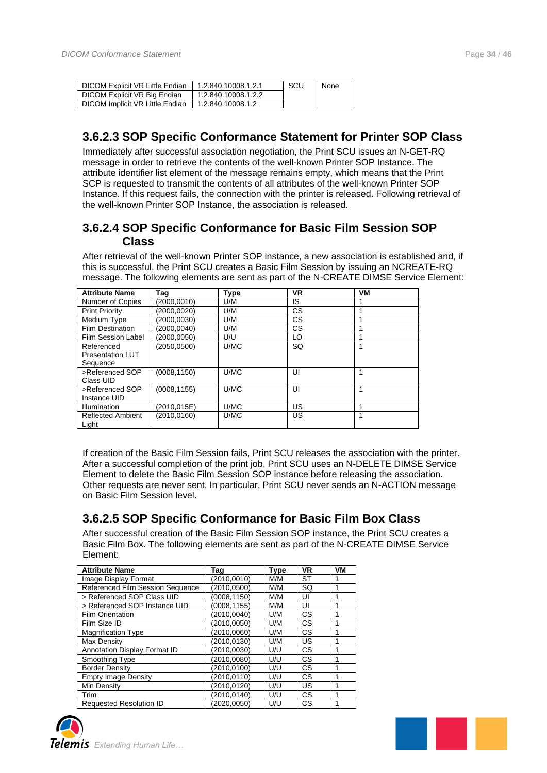| DICOM Explicit VR Little Endian | 1.2.840.10008.1.2.1 | SCL | None |
|---------------------------------|---------------------|-----|------|
| DICOM Explicit VR Big Endian    | 1.2.840.10008.1.2.2 |     |      |
| DICOM Implicit VR Little Endian | 1.2.840.10008.1.2   |     |      |

### <span id="page-33-0"></span>**3.6.2.3 SOP Specific Conformance Statement for Printer SOP Class**

Immediately after successful association negotiation, the Print SCU issues an N-GET-RQ message in order to retrieve the contents of the well-known Printer SOP Instance. The attribute identifier list element of the message remains empty, which means that the Print SCP is requested to transmit the contents of all attributes of the well-known Printer SOP Instance. If this request fails, the connection with the printer is released. Following retrieval of the well-known Printer SOP Instance, the association is released.

### <span id="page-33-1"></span>**3.6.2.4 SOP Specific Conformance for Basic Film Session SOP Class**

After retrieval of the well-known Printer SOP instance, a new association is established and, if this is successful, the Print SCU creates a Basic Film Session by issuing an NCREATE-RQ message. The following elements are sent as part of the N-CREATE DIMSE Service Element:

| <b>Attribute Name</b>                             | Taq          | Type | <b>VR</b> | VM |
|---------------------------------------------------|--------------|------|-----------|----|
| Number of Copies                                  | (2000.0010)  | U/M  | IS        |    |
| <b>Print Priority</b>                             | (2000.0020)  | U/M  | <b>CS</b> |    |
| Medium Type                                       | (2000.0030)  | U/M  | <b>CS</b> |    |
| <b>Film Destination</b>                           | (2000.0040)  | U/M  | <b>CS</b> |    |
| <b>Film Session Label</b>                         | (2000.0050)  | U/U  | LO        |    |
| Referenced<br><b>Presentation LUT</b><br>Sequence | (2050,0500)  | U/MC | SQ        |    |
| >Referenced SOP<br>Class UID                      | (0008, 1150) | U/MC | UI        | 1  |
| >Referenced SOP<br>Instance UID                   | (0008, 1155) | U/MC | UI        |    |
| Illumination                                      | (2010.015E)  | U/MC | US        |    |
| <b>Reflected Ambient</b><br>Light                 | (2010,0160)  | U/MC | US        |    |

If creation of the Basic Film Session fails, Print SCU releases the association with the printer. After a successful completion of the print job, Print SCU uses an N-DELETE DIMSE Service Element to delete the Basic Film Session SOP instance before releasing the association. Other requests are never sent. In particular, Print SCU never sends an N-ACTION message on Basic Film Session level.

### <span id="page-33-2"></span>**3.6.2.5 SOP Specific Conformance for Basic Film Box Class**

After successful creation of the Basic Film Session SOP instance, the Print SCU creates a Basic Film Box. The following elements are sent as part of the N-CREATE DIMSE Service Element:

| <b>Attribute Name</b>            | Tag          | <b>Type</b> | <b>VR</b> | VM |
|----------------------------------|--------------|-------------|-----------|----|
| Image Display Format             | (2010, 0010) | M/M         | <b>ST</b> |    |
| Referenced Film Session Sequence | (2010.0500)  | M/M         | <b>SQ</b> |    |
| > Referenced SOP Class UID       | (0008.1150)  | M/M         | UI        |    |
| > Referenced SOP Instance UID    | (0008.1155)  | M/M         | UI        |    |
| <b>Film Orientation</b>          | (2010.0040)  | U/M         | CS        |    |
| Film Size ID                     | (2010.0050)  | U/M         | СS        |    |
| <b>Magnification Type</b>        | (2010.0060)  | U/M         | <b>CS</b> |    |
| <b>Max Density</b>               | (2010.0130)  | U/M         | US        |    |
| Annotation Display Format ID     | (2010.0030)  | U/U         | СS        |    |
| Smoothing Type                   | (2010.0080)  | U/U         | <b>CS</b> |    |
| <b>Border Density</b>            | (2010.0100)  | U/U         | CS        |    |
| <b>Empty Image Density</b>       | (2010.0110)  | U/U         | СS        |    |
| Min Density                      | (2010.0120)  | U/U         | US        |    |
| Trim                             | (2010.0140)  | U/U         | <b>CS</b> |    |
| <b>Requested Resolution ID</b>   | (2020.0050)  | U/U         | CS        |    |



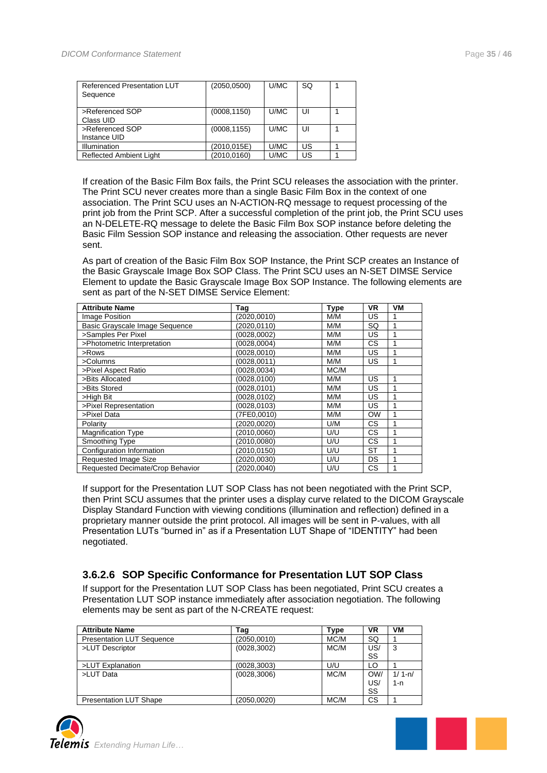| Referenced Presentation LUT<br>Sequence | (2050,0500)  | U/MC | SQ |  |
|-----------------------------------------|--------------|------|----|--|
| >Referenced SOP<br>Class UID            | (0008, 1150) | U/MC | U  |  |
| >Referenced SOP<br>Instance UID         | (0008, 1155) | U/MC | U  |  |
| Illumination                            | (2010,015E)  | U/MC | US |  |
| <b>Reflected Ambient Light</b>          | (2010, 0160) | U/MC | US |  |

If creation of the Basic Film Box fails, the Print SCU releases the association with the printer. The Print SCU never creates more than a single Basic Film Box in the context of one association. The Print SCU uses an N-ACTION-RQ message to request processing of the print job from the Print SCP. After a successful completion of the print job, the Print SCU uses an N-DELETE-RQ message to delete the Basic Film Box SOP instance before deleting the Basic Film Session SOP instance and releasing the association. Other requests are never sent.

As part of creation of the Basic Film Box SOP Instance, the Print SCP creates an Instance of the Basic Grayscale Image Box SOP Class. The Print SCU uses an N-SET DIMSE Service Element to update the Basic Grayscale Image Box SOP Instance. The following elements are sent as part of the N-SET DIMSE Service Element:

| <b>Attribute Name</b>            | Tag          | <b>Type</b> | <b>VR</b> | VM |
|----------------------------------|--------------|-------------|-----------|----|
| Image Position                   | (2020,0010)  | M/M         | US        |    |
| Basic Grayscale Image Sequence   | (2020, 0110) | M/M         | SQ        |    |
| >Samples Per Pixel               | (0028, 0002) | M/M         | US        |    |
| >Photometric Interpretation      | (0028.0004)  | M/M         | <b>CS</b> |    |
| >Rows                            | (0028, 0010) | M/M         | US        |    |
| >Columns                         | (0028, 0011) | M/M         | US        |    |
| >Pixel Aspect Ratio              | (0028, 0034) | MC/M        |           |    |
| >Bits Allocated                  | (0028, 0100) | M/M         | US        |    |
| >Bits Stored                     | (0028, 0101) | M/M         | US        |    |
| >High Bit                        | (0028.0102)  | M/M         | US        |    |
| >Pixel Representation            | (0028,0103)  | M/M         | US        |    |
| >Pixel Data                      | (7FE0.0010)  | M/M         | <b>OW</b> |    |
| Polarity                         | (2020.0020)  | U/M         | <b>CS</b> |    |
| <b>Magnification Type</b>        | (2010, 0060) | U/U         | СS        |    |
| Smoothing Type                   | (2010,0080)  | U/U         | <b>CS</b> |    |
| Configuration Information        | (2010,0150)  | U/U         | <b>ST</b> |    |
| <b>Requested Image Size</b>      | (2020,0030)  | U/U         | <b>DS</b> |    |
| Requested Decimate/Crop Behavior | (2020.0040)  | U/U         | <b>CS</b> |    |

If support for the Presentation LUT SOP Class has not been negotiated with the Print SCP, then Print SCU assumes that the printer uses a display curve related to the DICOM Grayscale Display Standard Function with viewing conditions (illumination and reflection) defined in a proprietary manner outside the print protocol. All images will be sent in P-values, with all Presentation LUTs "burned in" as if a Presentation LUT Shape of "IDENTITY" had been negotiated.

#### <span id="page-34-0"></span>**3.6.2.6 SOP Specific Conformance for Presentation LUT SOP Class**

If support for the Presentation LUT SOP Class has been negotiated, Print SCU creates a Presentation LUT SOP instance immediately after association negotiation. The following elements may be sent as part of the N-CREATE request:

| <b>Attribute Name</b>            | Tag          | Type | <b>VR</b>        | VM                |
|----------------------------------|--------------|------|------------------|-------------------|
| <b>Presentation LUT Sequence</b> | (2050.0010)  | MC/M | SQ               |                   |
| >LUT Descriptor                  | (0028, 3002) | MC/M | US/<br>SS        | 3                 |
| >LUT Explanation                 | (0028, 3003) | U/U  | LO               |                   |
| >LUT Data                        | (0028, 3006) | MC/M | OW/<br>US/<br>SS | $1/1 - n/$<br>1-n |
| <b>Presentation LUT Shape</b>    | (2050,0020)  | MC/M | CS               |                   |



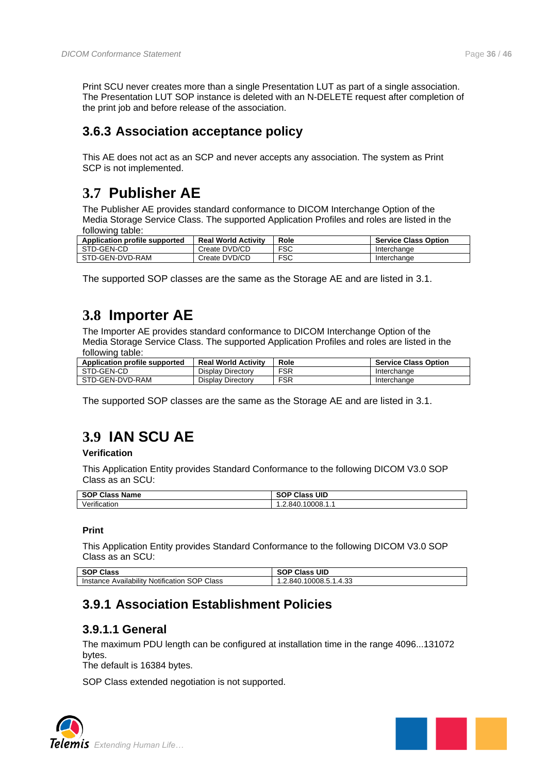Print SCU never creates more than a single Presentation LUT as part of a single association. The Presentation LUT SOP instance is deleted with an N-DELETE request after completion of the print job and before release of the association.

### <span id="page-35-0"></span>**3.6.3 Association acceptance policy**

This AE does not act as an SCP and never accepts any association. The system as Print SCP is not implemented.

## <span id="page-35-1"></span>**3.7 Publisher AE**

The Publisher AE provides standard conformance to DICOM Interchange Option of the Media Storage Service Class. The supported Application Profiles and roles are listed in the following table:

| Application profile supported | <b>Real World Activity</b> | Role       | <b>Service Class Option</b> |
|-------------------------------|----------------------------|------------|-----------------------------|
| STD-GEN-CD                    | Create DVD/CD              | <b>FSC</b> | Interchange                 |
| STD-GEN-DVD-RAM               | Create DVD/CD              | FSC        | Interchange                 |

The supported SOP classes are the same as the Storage AE and are listed in [3.1.](#page-15-1)

## <span id="page-35-2"></span>**3.8 Importer AE**

The Importer AE provides standard conformance to DICOM Interchange Option of the Media Storage Service Class. The supported Application Profiles and roles are listed in the following table:

| Application profile supported | <b>Real World Activity</b> | Role       | <b>Service Class Option</b> |
|-------------------------------|----------------------------|------------|-----------------------------|
| STD-GEN-CD                    | Display Directory          | <b>FSR</b> | Interchange                 |
| STD-GEN-DVD-RAM               | Display Directory          | <b>FSR</b> | Interchange                 |

The supported SOP classes are the same as the Storage AE and are listed in [3.1.](#page-15-1)

## <span id="page-35-3"></span>**3.9 IAN SCU AE**

#### **Verification**

This Application Entity provides Standard Conformance to the following DICOM V3.0 SOP Class as an SCU:

| <b>SOP Class</b><br><b>Name</b>            | UID<br><b>SOP CIA</b><br>Class |
|--------------------------------------------|--------------------------------|
| $\cdot$<br>$\cdot$ $\cdot$<br>Verification | 1.2.840.10008.1.1              |

#### **Print**

This Application Entity provides Standard Conformance to the following DICOM V3.0 SOP Class as an SCU:

| <b>SOP Class</b>                                                  | <b>Class UID</b><br>$\sim$<br>50. |
|-------------------------------------------------------------------|-----------------------------------|
| Notification SOP Class<br><br>.<br>Availability<br>Instance $\mu$ | .10008.5.1.4.33<br>∵2.840. ا      |

### <span id="page-35-4"></span>**3.9.1 Association Establishment Policies**

### <span id="page-35-5"></span>**3.9.1.1 General**

The maximum PDU length can be configured at installation time in the range 4096...131072 bytes.

The default is 16384 bytes.

SOP Class extended negotiation is not supported.



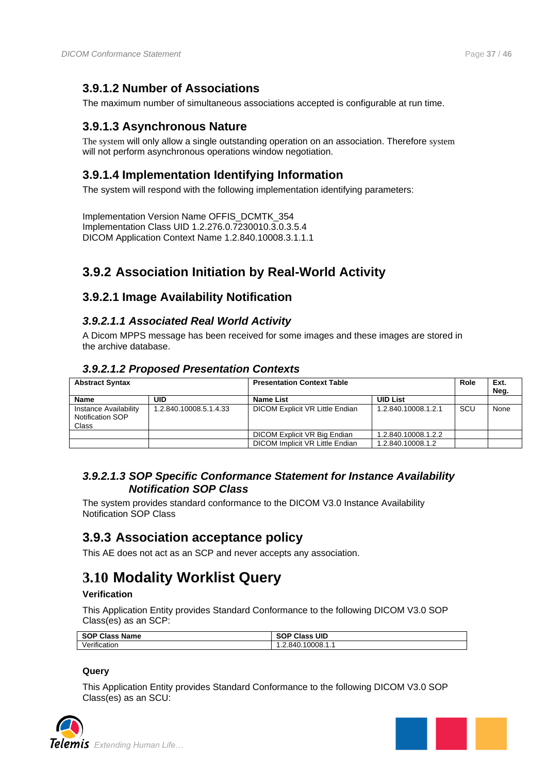### <span id="page-36-0"></span>**3.9.1.2 Number of Associations**

The maximum number of simultaneous associations accepted is configurable at run time.

### <span id="page-36-1"></span>**3.9.1.3 Asynchronous Nature**

The system will only allow a single outstanding operation on an association. Therefore system will not perform asynchronous operations window negotiation.

### <span id="page-36-2"></span>**3.9.1.4 Implementation Identifying Information**

The system will respond with the following implementation identifying parameters:

Implementation Version Name OFFIS\_DCMTK\_354 Implementation Class UID 1.2.276.0.7230010.3.0.3.5.4 DICOM Application Context Name 1.2.840.10008.3.1.1.1

## <span id="page-36-3"></span>**3.9.2 Association Initiation by Real-World Activity**

### <span id="page-36-4"></span>**3.9.2.1 Image Availability Notification**

#### <span id="page-36-5"></span>*3.9.2.1.1 Associated Real World Activity*

A Dicom MPPS message has been received for some images and these images are stored in the archive database.

### <span id="page-36-6"></span>*3.9.2.1.2 Proposed Presentation Contexts*

| <b>Abstract Syntax</b>                             |                        | <b>Presentation Context Table</b> |                     | Role | Ext.<br>Neg. |
|----------------------------------------------------|------------------------|-----------------------------------|---------------------|------|--------------|
| <b>Name</b>                                        | UID                    | Name List                         | <b>UID List</b>     |      |              |
| Instance Availability<br>Notification SOP<br>Class | 1.2.840.10008.5.1.4.33 | DICOM Explicit VR Little Endian   | 1.2.840.10008.1.2.1 | SCU  | None         |
|                                                    |                        | DICOM Explicit VR Big Endian      | 1.2.840.10008.1.2.2 |      |              |
|                                                    |                        | DICOM Implicit VR Little Endian   | 1.2.840.10008.1.2   |      |              |

### <span id="page-36-7"></span>*3.9.2.1.3 SOP Specific Conformance Statement for Instance Availability Notification SOP Class*

The system provides standard conformance to the DICOM V3.0 Instance Availability Notification SOP Class

### <span id="page-36-8"></span>**3.9.3 Association acceptance policy**

This AE does not act as an SCP and never accepts any association.

## <span id="page-36-9"></span>**3.10 Modality Worklist Query**

#### **Verification**

This Application Entity provides Standard Conformance to the following DICOM V3.0 SOP Class(es) as an SCP:

| <b>SOP Class Name</b> | <b>Class</b><br>UID<br><b>SOP</b> |
|-----------------------|-----------------------------------|
| Verification          | 10008.1<br>-84 L<br>.             |

#### **Query**

This Application Entity provides Standard Conformance to the following DICOM V3.0 SOP Class(es) as an SCU:



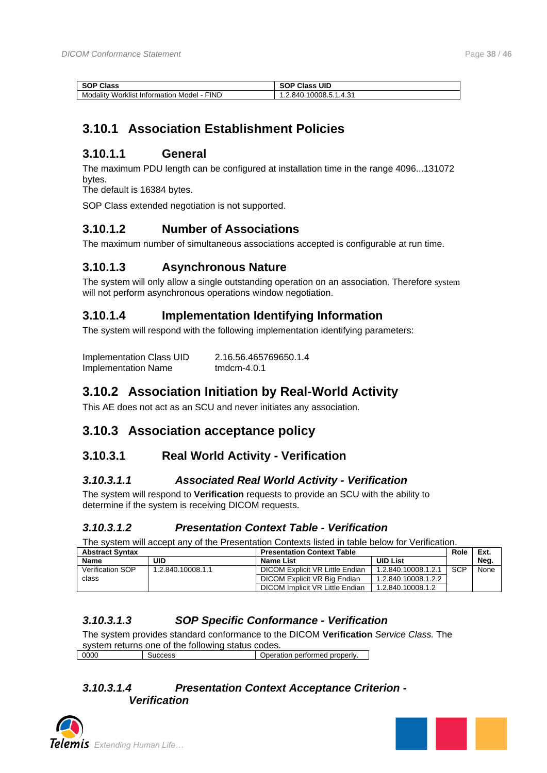| Class<br><b>SOP</b>                                         | UID<br>Class<br>ъu<br>ЭL.      |
|-------------------------------------------------------------|--------------------------------|
| <b>FIND</b><br>Modality<br>Worklist<br>Model<br>Information | د:4<br>∵ 840.∠…<br>10008.5.1.• |

### <span id="page-37-0"></span>**3.10.1 Association Establishment Policies**

### <span id="page-37-1"></span>**3.10.1.1 General**

The maximum PDU length can be configured at installation time in the range 4096...131072 bytes.

The default is 16384 bytes.

SOP Class extended negotiation is not supported.

### <span id="page-37-2"></span>**3.10.1.2 Number of Associations**

The maximum number of simultaneous associations accepted is configurable at run time.

### <span id="page-37-3"></span>**3.10.1.3 Asynchronous Nature**

The system will only allow a single outstanding operation on an association. Therefore system will not perform asynchronous operations window negotiation.

### <span id="page-37-4"></span>**3.10.1.4 Implementation Identifying Information**

The system will respond with the following implementation identifying parameters:

| Implementation Class UID   | 2.16.56.465769650.1.4 |
|----------------------------|-----------------------|
| <b>Implementation Name</b> | tmdcm-4.0.1           |

### <span id="page-37-5"></span>**3.10.2 Association Initiation by Real-World Activity**

This AE does not act as an SCU and never initiates any association.

### <span id="page-37-6"></span>**3.10.3 Association acceptance policy**

### <span id="page-37-7"></span>**3.10.3.1 Real World Activity - Verification**

#### <span id="page-37-8"></span>*3.10.3.1.1 Associated Real World Activity - Verification*

The system will respond to **Verification** requests to provide an SCU with the ability to determine if the system is receiving DICOM requests.

#### <span id="page-37-9"></span>*3.10.3.1.2 Presentation Context Table - Verification*

The system will accept any of the Presentation Contexts listed in table below for Verification.

| <b>Abstract Syntax</b>  |                   | <b>Presentation Context Table</b> |                     |            |      | Role | Ext. |
|-------------------------|-------------------|-----------------------------------|---------------------|------------|------|------|------|
| <b>Name</b>             | UID               | Name List                         | <b>UID List</b>     |            | Neg. |      |      |
| <b>Verification SOP</b> | 1.2.840.10008.1.1 | DICOM Explicit VR Little Endian   | 1.2.840.10008.1.2.1 | <b>SCP</b> | None |      |      |
| class                   |                   | DICOM Explicit VR Big Endian      | 1.2.840.10008.1.2.2 |            |      |      |      |
|                         |                   | DICOM Implicit VR Little Endian   | 1.2.840.10008.1.2   |            |      |      |      |

### <span id="page-37-10"></span>*3.10.3.1.3 SOP Specific Conformance - Verification*

The system provides standard conformance to the DICOM **Verification** *Service Class.* The system returns one of the following status codes.<br>0000 | Success | Opera Success Depending Operation performed properly.

#### <span id="page-37-11"></span>*3.10.3.1.4 Presentation Context Acceptance Criterion - Verification*



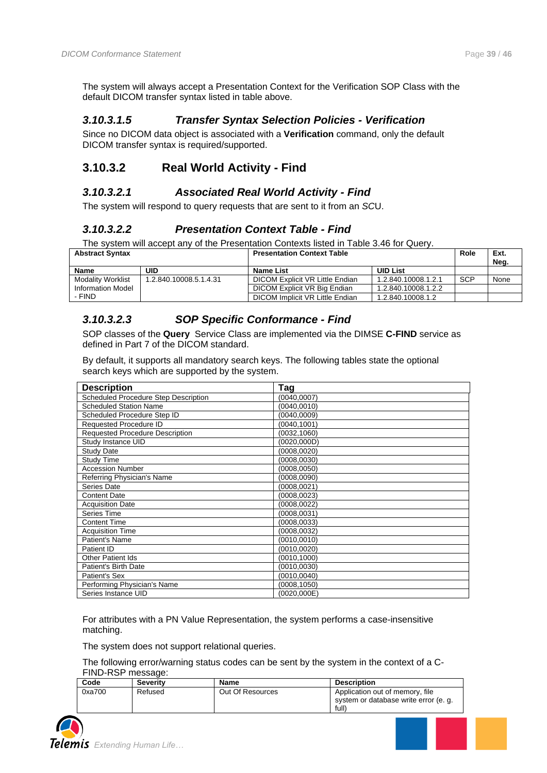The system will always accept a Presentation Context for the Verification SOP Class with the default DICOM transfer syntax listed in table above.

#### <span id="page-38-0"></span>*3.10.3.1.5 Transfer Syntax Selection Policies - Verification*

Since no DICOM data object is associated with a **Verification** command, only the default DICOM transfer syntax is required/supported.

### <span id="page-38-1"></span>**3.10.3.2 Real World Activity - Find**

#### <span id="page-38-2"></span>*3.10.3.2.1 Associated Real World Activity - Find*

<span id="page-38-3"></span>The system will respond to query requests that are sent to it from an *SC*U.

#### *3.10.3.2.2 Presentation Context Table - Find*

The system will accept any of the Presentation Contexts listed in Table 3.46 for Query.

| <b>Abstract Syntax</b>   |                        | <b>Presentation Context Table</b> |                     | Role       | Ext.<br>Nea. |
|--------------------------|------------------------|-----------------------------------|---------------------|------------|--------------|
| Name                     | UID                    | Name List                         | <b>UID List</b>     |            |              |
| <b>Modality Worklist</b> | 1.2.840.10008.5.1.4.31 | DICOM Explicit VR Little Endian   | 1.2.840.10008.1.2.1 | <b>SCP</b> | None         |
| Information Model        |                        | DICOM Explicit VR Big Endian      | 1.2.840.10008.1.2.2 |            |              |
| - FIND                   |                        | DICOM Implicit VR Little Endian   | 1.2.840.10008.1.2   |            |              |

#### <span id="page-38-4"></span>*3.10.3.2.3 SOP Specific Conformance - Find*

SOP classes of the **Query** Service Class are implemented via the DIMSE **C-FIND** service as defined in Part 7 of the DICOM standard.

By default, it supports all mandatory search keys. The following tables state the optional search keys which are supported by the system.

| <b>Description</b>                     | Tag          |
|----------------------------------------|--------------|
| Scheduled Procedure Step Description   | (0040, 0007) |
| <b>Scheduled Station Name</b>          | (0040,0010)  |
| Scheduled Procedure Step ID            | (0040, 0009) |
| Requested Procedure ID                 | (0040,1001)  |
| <b>Requested Procedure Description</b> | (0032,1060)  |
| Study Instance UID                     | (0020,000D)  |
| <b>Study Date</b>                      | (0008,0020)  |
| Study Time                             | (0008,0030)  |
| <b>Accession Number</b>                | (0008, 0050) |
| Referring Physician's Name             | (0008, 0090) |
| Series Date                            | (0008,0021)  |
| <b>Content Date</b>                    | (0008.0023)  |
| <b>Acquisition Date</b>                | (0008,0022)  |
| Series Time                            | (0008,0031)  |
| Content Time                           | (0008,0033)  |
| <b>Acquisition Time</b>                | (0008, 0032) |
| Patient's Name                         | (0010, 0010) |
| Patient ID                             | (0010,0020)  |
| <b>Other Patient Ids</b>               | (0010,1000)  |
| <b>Patient's Birth Date</b>            | (0010,0030)  |
| Patient's Sex                          | (0010,0040)  |
| Performing Physician's Name            | (0008,1050)  |
| Series Instance UID                    | (0020,000E)  |

For attributes with a PN Value Representation, the system performs a case-insensitive matching.

The system does not support relational queries.

The following error/warning status codes can be sent by the system in the context of a C-FIND-RSP message:

| Code   | <b>Severity</b> | <b>Name</b>      | <b>Description</b>                                                                |
|--------|-----------------|------------------|-----------------------------------------------------------------------------------|
| 0xa700 | Refused         | Out Of Resources | Application out of memory, file<br>system or database write error (e. g.<br>full) |

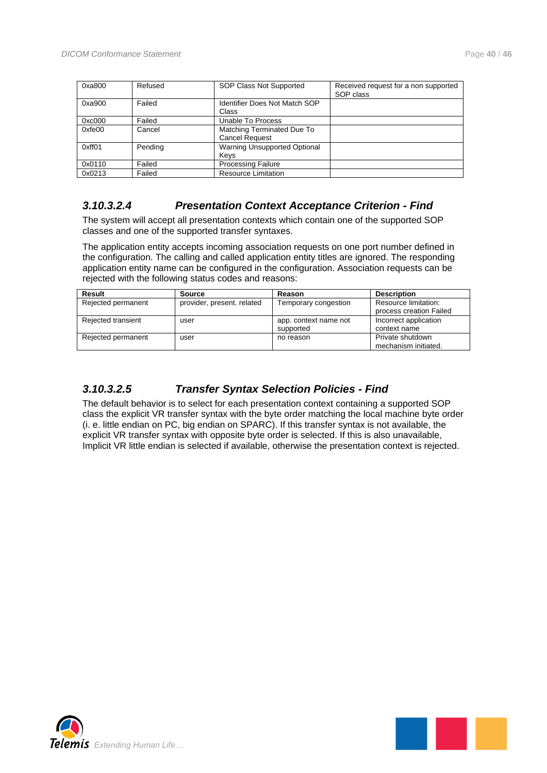| 0xa800 | Refused | SOP Class Not Supported                             | Received request for a non supported<br>SOP class |
|--------|---------|-----------------------------------------------------|---------------------------------------------------|
| 0xa900 | Failed  | <b>Identifier Does Not Match SOP</b><br>Class       |                                                   |
| 0xc000 | Failed  | Unable To Process                                   |                                                   |
| 0xfe00 | Cancel  | Matching Terminated Due To<br><b>Cancel Request</b> |                                                   |
| 0xff01 | Pending | Warning Unsupported Optional<br>Kevs                |                                                   |
| 0x0110 | Failed  | <b>Processing Failure</b>                           |                                                   |
| 0x0213 | Failed  | <b>Resource Limitation</b>                          |                                                   |

#### <span id="page-39-0"></span>*3.10.3.2.4 Presentation Context Acceptance Criterion - Find*

The system will accept all presentation contexts which contain one of the supported SOP classes and one of the supported transfer syntaxes.

The application entity accepts incoming association requests on one port number defined in the configuration. The calling and called application entity titles are ignored. The responding application entity name can be configured in the configuration. Association requests can be rejected with the following status codes and reasons:

| Result             | <b>Source</b>              | Reason                             | <b>Description</b>                              |
|--------------------|----------------------------|------------------------------------|-------------------------------------------------|
| Rejected permanent | provider, present. related | Temporary congestion               | Resource limitation:<br>process creation Failed |
| Rejected transient | user                       | app. context name not<br>supported | Incorrect application<br>context name           |
| Rejected permanent | user                       | no reason                          | Private shutdown<br>mechanism initiated.        |

#### <span id="page-39-1"></span>*3.10.3.2.5 Transfer Syntax Selection Policies - Find*

The default behavior is to select for each presentation context containing a supported SOP class the explicit VR transfer syntax with the byte order matching the local machine byte order (i. e. little endian on PC, big endian on SPARC). If this transfer syntax is not available, the explicit VR transfer syntax with opposite byte order is selected. If this is also unavailable, Implicit VR little endian is selected if available, otherwise the presentation context is rejected.



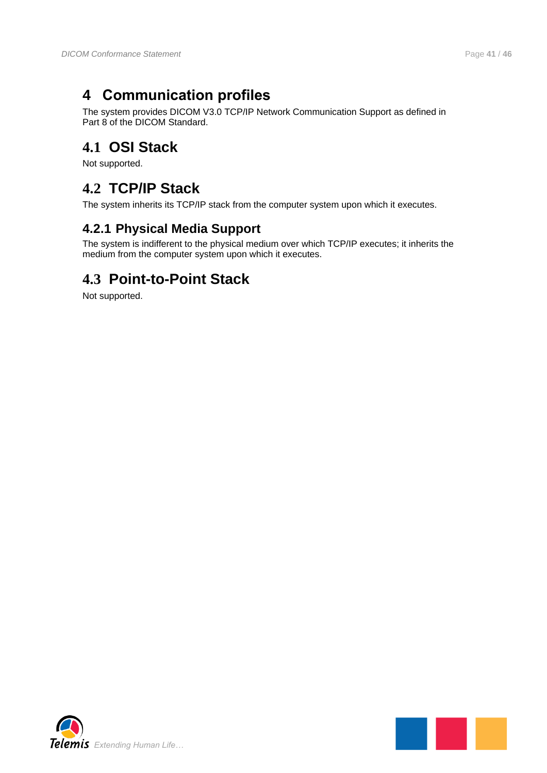## <span id="page-40-0"></span>**4 Communication profiles**

The system provides DICOM V3.0 TCP/IP Network Communication Support as defined in Part 8 of the DICOM Standard.

## <span id="page-40-1"></span>**4.1 OSI Stack**

Not supported.

## <span id="page-40-2"></span>**4.2 TCP/IP Stack**

<span id="page-40-3"></span>The system inherits its TCP/IP stack from the computer system upon which it executes.

### **4.2.1 Physical Media Support**

The system is indifferent to the physical medium over which TCP/IP executes; it inherits the medium from the computer system upon which it executes.

## <span id="page-40-4"></span>**4.3 Point-to-Point Stack**

Not supported.



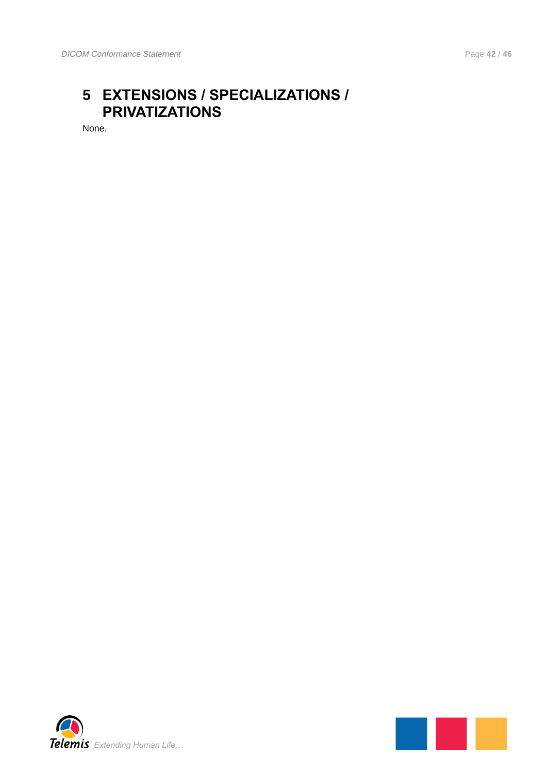## <span id="page-41-0"></span>**5 EXTENSIONS / SPECIALIZATIONS / PRIVATIZATIONS**

None.



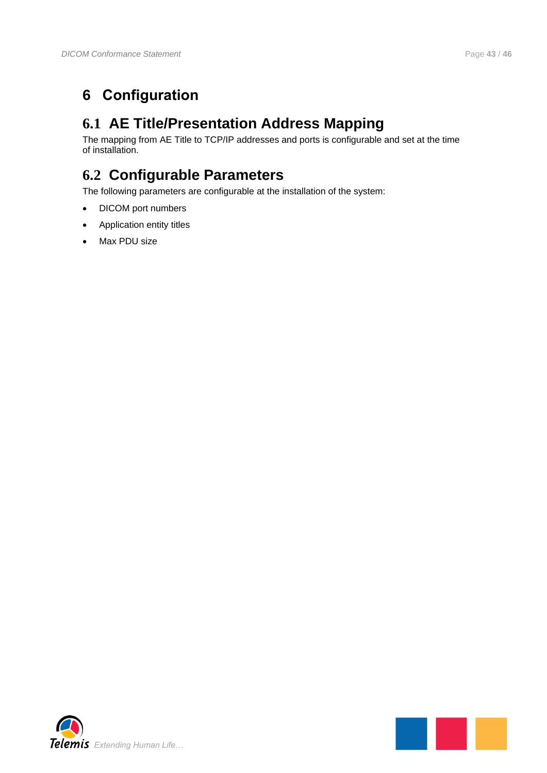## <span id="page-42-1"></span><span id="page-42-0"></span>**6.1 AE Title/Presentation Address Mapping**

The mapping from AE Title to TCP/IP addresses and ports is configurable and set at the time of installation.

## <span id="page-42-2"></span>**6.2 Configurable Parameters**

The following parameters are configurable at the installation of the system:

- DICOM port numbers
- Application entity titles
- Max PDU size



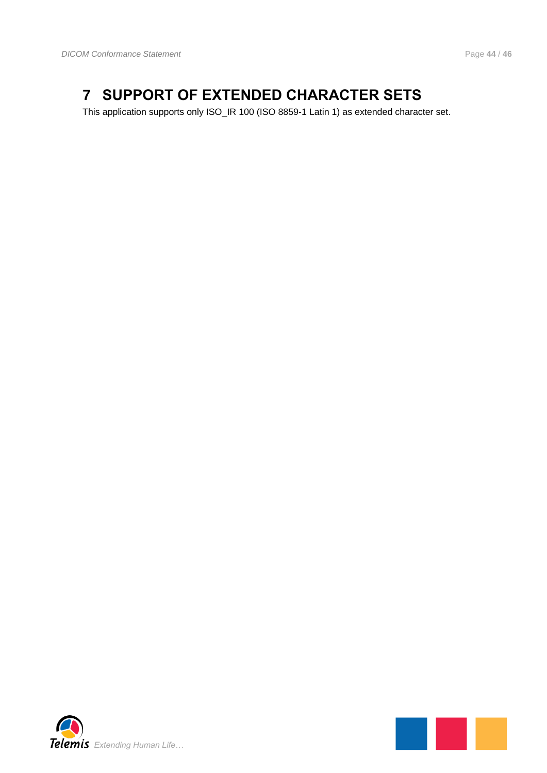## <span id="page-43-0"></span>**7 SUPPORT OF EXTENDED CHARACTER SETS**

This application supports only ISO\_IR 100 (ISO 8859-1 Latin 1) as extended character set.



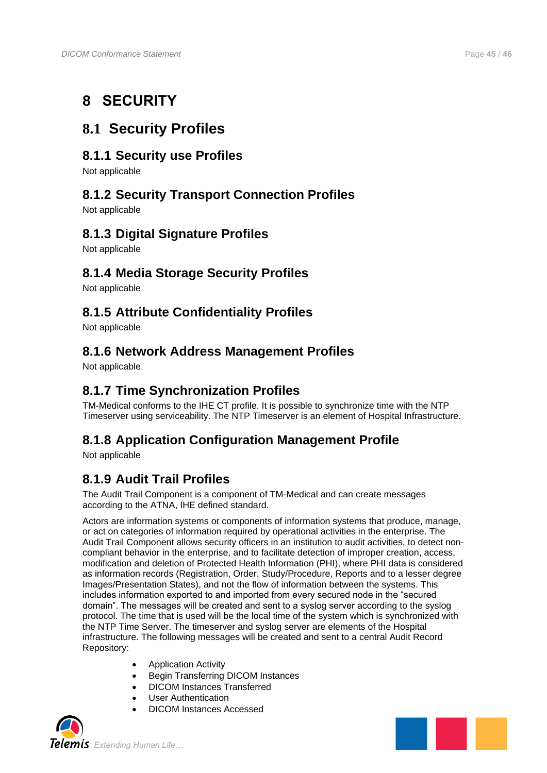## **8 SECURITY**

## **8.1 Security Profiles**

### **8.1.1 Security use Profiles**

Not applicable

### **8.1.2 Security Transport Connection Profiles**

Not applicable

### **8.1.3 Digital Signature Profiles**

Not applicable

### **8.1.4 Media Storage Security Profiles**

Not applicable

### **8.1.5 Attribute Confidentiality Profiles**

Not applicable

### **8.1.6 Network Address Management Profiles**

Not applicable

### **8.1.7 Time Synchronization Profiles**

TM-Medical conforms to the IHE CT profile. It is possible to synchronize time with the NTP Timeserver using serviceability. The NTP Timeserver is an element of Hospital Infrastructure.

### **8.1.8 Application Configuration Management Profile**

Not applicable

### **8.1.9 Audit Trail Profiles**

The Audit Trail Component is a component of TM-Medical and can create messages according to the ATNA, IHE defined standard.

Actors are information systems or components of information systems that produce, manage, or act on categories of information required by operational activities in the enterprise. The Audit Trail Component allows security officers in an institution to audit activities, to detect noncompliant behavior in the enterprise, and to facilitate detection of improper creation, access, modification and deletion of Protected Health Information (PHI), where PHI data is considered as information records (Registration, Order, Study/Procedure, Reports and to a lesser degree Images/Presentation States), and not the flow of information between the systems. This includes information exported to and imported from every secured node in the "secured domain". The messages will be created and sent to a syslog server according to the syslog protocol. The time that is used will be the local time of the system which is synchronized with the NTP Time Server. The timeserver and syslog server are elements of the Hospital infrastructure. The following messages will be created and sent to a central Audit Record Repository:

- Application Activity
- Begin Transferring DICOM Instances
- DICOM Instances Transferred
- User Authentication
- DICOM Instances Accessed